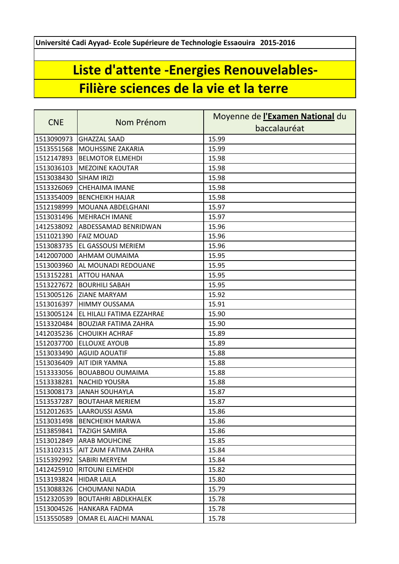**Université Cadi Ayyad- Ecole Supérieure de Technologie Essaouira 2015-2016**

## **Liste d'attente -Energies Renouvelables-Filière sciences de la vie et la terre**

| <b>CNE</b> | Nom Prénom                  | Moyenne de l'Examen National du |
|------------|-----------------------------|---------------------------------|
|            |                             | baccalauréat                    |
| 1513090973 | <b>GHAZZAL SAAD</b>         | 15.99                           |
| 1513551568 | <b>MOUHSSINE ZAKARIA</b>    | 15.99                           |
| 1512147893 | <b>BELMOTOR ELMEHDI</b>     | 15.98                           |
| 1513036103 | <b>MEZOINE KAOUTAR</b>      | 15.98                           |
| 1513038430 | SIHAM IRIZI                 | 15.98                           |
| 1513326069 | <b>CHEHAIMA IMANE</b>       | 15.98                           |
| 1513354009 | <b>BENCHEIKH HAJAR</b>      | 15.98                           |
| 1512198999 | MOUANA ABDELGHANI           | 15.97                           |
| 1513031496 | <b>MEHRACH IMANE</b>        | 15.97                           |
| 1412538092 | ABDESSAMAD BENRIDWAN        | 15.96                           |
| 1511021390 | <b>FAIZ MOUAD</b>           | 15.96                           |
| 1513083735 | <b>EL GASSOUSI MERIEM</b>   | 15.96                           |
| 1412007000 | <b>AHMAM OUMAIMA</b>        | 15.95                           |
| 1513003960 | AL MOUNADI REDOUANE         | 15.95                           |
| 1513152281 | <b>ATTOU HANAA</b>          | 15.95                           |
| 1513227672 | <b>BOURHILI SABAH</b>       | 15.95                           |
|            | 1513005126 ZIANE MARYAM     | 15.92                           |
| 1513016397 | <b>HIMMY OUSSAMA</b>        | 15.91                           |
| 1513005124 | EL HILALI FATIMA EZZAHRAE   | 15.90                           |
| 1513320484 | <b>BOUZIAR FATIMA ZAHRA</b> | 15.90                           |
| 1412035236 | <b>CHOUIKH ACHRAF</b>       | 15.89                           |
| 1512037700 | <b>ELLOUXE AYOUB</b>        | 15.89                           |
| 1513033490 | <b>AGUID AOUATIF</b>        | 15.88                           |
| 1513036409 | <b>AIT IDIR YAMNA</b>       | 15.88                           |
| 1513333056 | <b>BOUABBOU OUMAIMA</b>     | 15.88                           |
| 1513338281 | <b>NACHID YOUSRA</b>        | 15.88                           |
| 1513008173 | <b>JANAH SOUHAYLA</b>       | 15.87                           |
| 1513537287 | <b>BOUTAHAR MERIEM</b>      | 15.87                           |
|            | 1512012635  LAAROUSSI ASMA  | 15.86                           |
| 1513031498 | <b>BENCHEIKH MARWA</b>      | 15.86                           |
| 1513859841 | <b>TAZIGH SAMIRA</b>        | 15.86                           |
| 1513012849 | <b>ARAB MOUHCINE</b>        | 15.85                           |
| 1513102315 | AIT ZAIM FATIMA ZAHRA       | 15.84                           |
| 1515392992 | <b>SABIRI MERYEM</b>        | 15.84                           |
| 1412425910 | <b>RITOUNI ELMEHDI</b>      | 15.82                           |
| 1513193824 | <b>HIDAR LAILA</b>          | 15.80                           |
| 1513088326 | CHOUMANI NADIA              | 15.79                           |
| 1512320539 | <b>BOUTAHRI ABDLKHALEK</b>  | 15.78                           |
| 1513004526 | <b>HANKARA FADMA</b>        | 15.78                           |
| 1513550589 | OMAR EL AIACHI MANAL        | 15.78                           |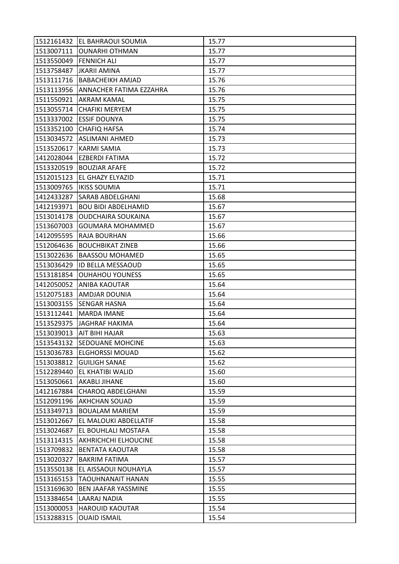|            | 1512161432 EL BAHRAOUI SOUMIA   | 15.77 |
|------------|---------------------------------|-------|
|            | 1513007111 OUNARHI OTHMAN       | 15.77 |
| 1513550049 | <b>FENNICH ALI</b>              | 15.77 |
| 1513758487 | <b>JKARII AMINA</b>             | 15.77 |
| 1513111716 | <b>BABACHEIKH AMJAD</b>         | 15.76 |
| 1513113956 | ANNACHER FATIMA EZZAHRA         | 15.76 |
| 1511550921 | <b>AKRAM KAMAL</b>              | 15.75 |
| 1513055714 | <b>CHAFIKI MERYEM</b>           | 15.75 |
|            | 1513337002 ESSIF DOUNYA         | 15.75 |
| 1513352100 | <b>CHAFIQ HAFSA</b>             | 15.74 |
|            | 1513034572 ASLIMANI AHMED       | 15.73 |
| 1513520617 | KARMI SAMIA                     | 15.73 |
| 1412028044 | EZBERDI FATIMA                  | 15.72 |
| 1513320519 | <b>BOUZIAR AFAFE</b>            | 15.72 |
| 1512015123 | EL GHAZY ELYAZID                | 15.71 |
|            | 1513009765   IKISS SOUMIA       | 15.71 |
| 1412433287 | SARAB ABDELGHANI                | 15.68 |
| 1412193971 | <b>BOU BIDI ABDELHAMID</b>      | 15.67 |
| 1513014178 | <b>OUDCHAIRA SOUKAINA</b>       | 15.67 |
| 1513607003 | GOUMARA MOHAMMED                | 15.67 |
| 1412095595 | RAJA BOURHAN                    | 15.66 |
| 1512064636 | <b>BOUCHBIKAT ZINEB</b>         | 15.66 |
| 1513022636 | <b>BAASSOU MOHAMED</b>          | 15.65 |
| 1513036429 | <b>ID BELLA MESSAOUD</b>        | 15.65 |
| 1513181854 | <b>OUHAHOU YOUNESS</b>          | 15.65 |
| 1412050052 | <b>ANIBA KAOUTAR</b>            | 15.64 |
| 1512075183 | <b>AMDJAR DOUNIA</b>            | 15.64 |
|            | 1513003155 SENGAR HASNA         | 15.64 |
| 1513112441 | <b>MARDA IMANE</b>              | 15.64 |
| 1513529375 | <b>JAGHRAF HAKIMA</b>           | 15.64 |
| 1513039013 | AIT BIHI HAJAR                  | 15.63 |
|            | 1513543132 SEDOUANE MOHCINE     | 15.63 |
| 1513036783 | <b>ELGHORSSI MOUAD</b>          | 15.62 |
| 1513038812 | <b>GUILIGH SANAE</b>            | 15.62 |
| 1512289440 | EL KHATIBI WALID                | 15.60 |
| 1513050661 | <b>AKABLI JIHANE</b>            | 15.60 |
| 1412167884 | <b>CHAROQ ABDELGHANI</b>        | 15.59 |
| 1512091196 | <b>AKHCHAN SOUAD</b>            | 15.59 |
| 1513349713 | <b>BOUALAM MARIEM</b>           | 15.59 |
| 1513012667 | EL MALOUKI ABDELLATIF           | 15.58 |
| 1513024687 | EL BOUHLALI MOSTAFA             | 15.58 |
|            | 1513114315 AKHRICHCHI ELHOUCINE | 15.58 |
| 1513709832 | <b>BENTATA KAOUTAR</b>          | 15.58 |
| 1513020327 | <b>BAKRIM FATIMA</b>            | 15.57 |
| 1513550138 | EL AISSAOUI NOUHAYLA            | 15.57 |
| 1513165153 | TAOUHNANAIT HANAN               | 15.55 |
| 1513169630 | <b>BEN JAAFAR YASSMINE</b>      | 15.55 |
| 1513384654 | <b>LAARAJ NADIA</b>             | 15.55 |
| 1513000053 | <b>HAROUID KAOUTAR</b>          | 15.54 |
| 1513288315 | <b>OUAID ISMAIL</b>             | 15.54 |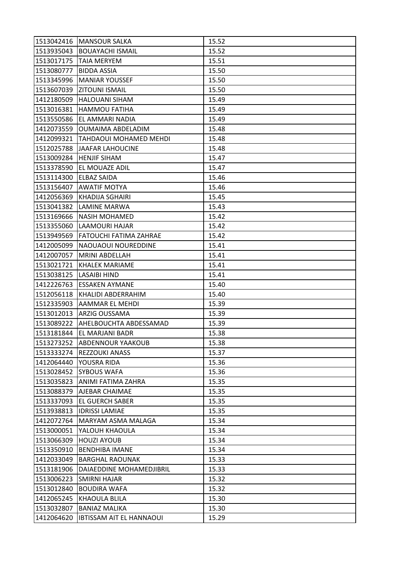|            | 1513042416   MANSOUR SALKA    | 15.52 |
|------------|-------------------------------|-------|
| 1513935043 | <b>BOUAYACHI ISMAIL</b>       | 15.52 |
| 1513017175 | <b>TAIA MERYEM</b>            | 15.51 |
| 1513080777 | <b>BIDDA ASSIA</b>            | 15.50 |
| 1513345996 | <b>MANIAR YOUSSEF</b>         | 15.50 |
| 1513607039 | <b>ZITOUNI ISMAIL</b>         | 15.50 |
| 1412180509 | <b>HALOUANI SIHAM</b>         | 15.49 |
| 1513016381 | <b>HAMMOU FATIHA</b>          | 15.49 |
| 1513550586 | EL AMMARI NADIA               | 15.49 |
| 1412073559 | <b>OUMAIMA ABDELADIM</b>      | 15.48 |
| 1412099321 | <b>TAHDAOUI MOHAMED MEHDI</b> | 15.48 |
| 1512025788 | <b>JAAFAR LAHOUCINE</b>       | 15.48 |
| 1513009284 | <b>HENJIF SIHAM</b>           | 15.47 |
| 1513378590 | EL MOUAZE ADIL                | 15.47 |
| 1513114300 | <b>ELBAZ SAIDA</b>            | 15.46 |
| 1513156407 | <b>AWATIF MOTYA</b>           | 15.46 |
| 1412056369 | KHADIJA SGHAIRI               | 15.45 |
| 1513041382 | LAMINE MARWA                  | 15.43 |
| 1513169666 | <b>NASIH MOHAMED</b>          | 15.42 |
| 1513355060 | LAAMOURI HAJAR                | 15.42 |
| 1513949569 | <b>FATOUCHI FATIMA ZAHRAE</b> | 15.42 |
| 1412005099 | NAOUAOUI NOUREDDINE           | 15.41 |
| 1412007057 | <b>MRINI ABDELLAH</b>         | 15.41 |
| 1513021721 | <b>KHALEK MARIAME</b>         | 15.41 |
| 1513038125 | LASAIBI HIND                  | 15.41 |
| 1412226763 | <b>ESSAKEN AYMANE</b>         | 15.40 |
| 1512056118 | KHALIDI ABDERRAHIM            | 15.40 |
| 1512335903 | AAMMAR EL MEHDI               | 15.39 |
| 1513012013 | ARZIG OUSSAMA                 | 15.39 |
| 1513089222 | AHELBOUCHTA ABDESSAMAD        | 15.39 |
| 1513181844 | EL MARJANI BADR               | 15.38 |
|            | 1513273252 ABDENNOUR YAAKOUB  | 15.38 |
| 1513333274 | <b>REZZOUKI ANASS</b>         | 15.37 |
| 1412064440 | YOUSRA RIDA                   | 15.36 |
| 1513028452 | <b>SYBOUS WAFA</b>            | 15.36 |
| 1513035823 | ANIMI FATIMA ZAHRA            | 15.35 |
| 1513088379 | AJEBAR CHAIMAE                | 15.35 |
| 1513337093 | <b>EL GUERCH SABER</b>        | 15.35 |
| 1513938813 | <b>IDRISSI LAMIAE</b>         | 15.35 |
| 1412072764 | MARYAM ASMA MALAGA            | 15.34 |
| 1513000051 | YALOUH KHAOULA                | 15.34 |
| 1513066309 | <b>HOUZI AYOUB</b>            | 15.34 |
| 1513350910 | <b>BENDHIBA IMANE</b>         | 15.34 |
| 1412033049 | <b>BARGHAL RAOUNAK</b>        | 15.33 |
| 1513181906 | DAIAEDDINE MOHAMEDJIBRIL      | 15.33 |
| 1513006223 | SMIRNI HAJAR                  | 15.32 |
| 1513012840 | <b>BOUDIRA WAFA</b>           | 15.32 |
| 1412065245 | <b>KHAOULA BLILA</b>          | 15.30 |
|            |                               |       |
| 1513032807 | <b>BANIAZ MALIKA</b>          | 15.30 |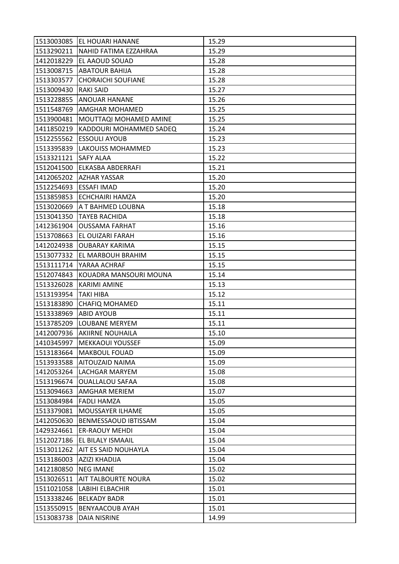|            | 1513003085 EL HOUARI HANANE      | 15.29 |
|------------|----------------------------------|-------|
|            | 1513290211 NAHID FATIMA EZZAHRAA | 15.29 |
| 1412018229 | <b>EL AAOUD SOUAD</b>            | 15.28 |
| 1513008715 | <b>ABATOUR BAHIJA</b>            | 15.28 |
| 1513303577 | <b>CHORAICHI SOUFIANE</b>        | 15.28 |
| 1513009430 | <b>RAKI SAID</b>                 | 15.27 |
| 1513228855 | <b>ANOUAR HANANE</b>             | 15.26 |
| 1511548769 | AMGHAR MOHAMED                   | 15.25 |
| 1513900481 | MOUTTAQI MOHAMED AMINE           | 15.25 |
| 1411850219 | KADDOURI MOHAMMED SADEQ          | 15.24 |
| 1512255562 | <b>ESSOULI AYOUB</b>             | 15.23 |
| 1513395839 | <b>LAKOUISS MOHAMMED</b>         | 15.23 |
| 1513321121 | <b>SAFY ALAA</b>                 | 15.22 |
| 1512041500 | <b>ELKASBA ABDERRAFI</b>         | 15.21 |
| 1412065202 | <b>AZHAR YASSAR</b>              | 15.20 |
| 1512254693 | <b>ESSAFI IMAD</b>               | 15.20 |
| 1513859853 | ECHCHAIRI HAMZA                  | 15.20 |
| 1513020669 | A T BAHMED LOUBNA                | 15.18 |
| 1513041350 | <b>TAYEB RACHIDA</b>             | 15.18 |
| 1412361904 | <b>OUSSAMA FARHAT</b>            | 15.16 |
| 1513708663 | <b>EL OUIZARI FARAH</b>          | 15.16 |
| 1412024938 | <b>OUBARAY KARIMA</b>            | 15.15 |
| 1513077332 | EL MARBOUH BRAHIM                | 15.15 |
| 1513111714 | YARAA ACHRAF                     | 15.15 |
| 1512074843 | KOUADRA MANSOURI MOUNA           | 15.14 |
| 1513326028 | <b>KARIMI AMINE</b>              | 15.13 |
| 1513193954 | <b>TAKI HIBA</b>                 | 15.12 |
| 1513183890 | <b>CHAFIQ MOHAMED</b>            | 15.11 |
| 1513338969 | <b>ABID AYOUB</b>                | 15.11 |
| 1513785209 | <b>LOUBANE MERYEM</b>            | 15.11 |
| 1412007936 | AKIIRNE NOUHAILA                 | 15.10 |
|            | 1410345997   MEKKAOUI YOUSSEF    | 15.09 |
| 1513183664 | <b>MAKBOUL FOUAD</b>             | 15.09 |
| 1513933588 | AITOUZAID NAIMA                  | 15.09 |
| 1412053264 | LACHGAR MARYEM                   | 15.08 |
| 1513196674 | <b>OUALLALOU SAFAA</b>           | 15.08 |
| 1513094663 | AMGHAR MERIEM                    | 15.07 |
| 1513084984 | <b>FADLI HAMZA</b>               | 15.05 |
| 1513379081 | MOUSSAYER ILHAME                 | 15.05 |
| 1412050630 | <b>BENMESSAOUD IBTISSAM</b>      | 15.04 |
| 1429324661 | <b>ER-RAOUY MEHDI</b>            | 15.04 |
| 1512027186 | <b>EL BILALY ISMAAIL</b>         | 15.04 |
| 1513011262 | AIT ES SAID NOUHAYLA             | 15.04 |
| 1513186003 | AZIZI KHADIJA                    | 15.04 |
| 1412180850 | <b>NEG IMANE</b>                 | 15.02 |
| 1513026511 | AIT TALBOURTE NOURA              | 15.02 |
| 1511021058 | LABIHI ELBACHIR                  | 15.01 |
| 1513338246 | <b>BELKADY BADR</b>              | 15.01 |
| 1513550915 | <b>BENYAACOUB AYAH</b>           | 15.01 |
| 1513083738 | DAIA NISRINE                     | 14.99 |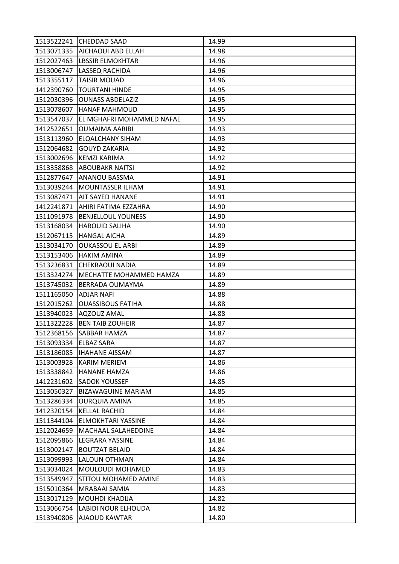| 1513522241            | <b>CHEDDAD SAAD</b>        | 14.99 |
|-----------------------|----------------------------|-------|
| 1513071335            | AICHAOUI ABD ELLAH         | 14.98 |
| 1512027463            | LBSSIR ELMOKHTAR           | 14.96 |
| 1513006747            | LASSEQ RACHIDA             | 14.96 |
| 1513355117            | <b>TAISIR MOUAD</b>        | 14.96 |
| 1412390760            | <b>TOURTANI HINDE</b>      | 14.95 |
| 1512030396            | <b>OUNASS ABDELAZIZ</b>    | 14.95 |
| 1513078607            | <b>HANAF MAHMOUD</b>       | 14.95 |
| 1513547037            | EL MGHAFRI MOHAMMED NAFAE  | 14.95 |
| 1412522651            | <b>OUMAIMA AARIBI</b>      | 14.93 |
| 1513113960            | <b>ELQALCHANY SIHAM</b>    | 14.93 |
| 1512064682            | <b>GOUYD ZAKARIA</b>       | 14.92 |
| 1513002696            | KEMZI KARIMA               | 14.92 |
| 1513358868            | <b>ABOUBAKR NAITSI</b>     | 14.92 |
| 1512877647            | ANANOU BASSMA              | 14.91 |
| 1513039244            | <b>MOUNTASSER ILHAM</b>    | 14.91 |
| 1513087471            | AIT SAYED HANANE           | 14.91 |
| 1412241871            | AHIRI FATIMA EZZAHRA       | 14.90 |
| 1511091978            | <b>BENJELLOUL YOUNESS</b>  | 14.90 |
| 1513168034            | <b>HAROUID SALIHA</b>      | 14.90 |
| 1512067115            | <b>HANGAL AICHA</b>        | 14.89 |
| 1513034170            | <b>OUKASSOU EL ARBI</b>    | 14.89 |
| 1513153406            | <b>HAKIM AMINA</b>         | 14.89 |
| 1513236831            | <b>CHEKRAOUI NADIA</b>     | 14.89 |
| 1513324274            | MECHATTE MOHAMMED HAMZA    | 14.89 |
| 1513745032            | <b>BERRADA OUMAYMA</b>     | 14.89 |
| 1511165050            | ADJAR NAFI                 | 14.88 |
| 1512015262            | <b>OUASSIBOUS FATIHA</b>   | 14.88 |
| 1513940023            | AQZOUZ AMAL                | 14.88 |
| 1511322228            | <b>BEN TAIB ZOUHEIR</b>    | 14.87 |
| 1512368156            | SABBAR HAMZA               | 14.87 |
| 1513093334 ELBAZ SARA |                            | 14.87 |
|                       | 1513186085  IHAHANE AISSAM | 14.87 |
| 1513003928            | <b>KARIM MERIEM</b>        | 14.86 |
| 1513338842            | <b>HANANE HAMZA</b>        | 14.86 |
| 1412231602            | <b>SADOK YOUSSEF</b>       | 14.85 |
| 1513050327            | <b>BIZAWAGUINE MARIAM</b>  | 14.85 |
| 1513286334            | <b>OURQUIA AMINA</b>       | 14.85 |
| 1412320154            | <b>KELLAL RACHID</b>       | 14.84 |
| 1511344104            | <b>ELMOKHTARI YASSINE</b>  | 14.84 |
| 1512024659            | <b>MACHAAL SALAHEDDINE</b> | 14.84 |
| 1512095866            | LEGRARA YASSINE            | 14.84 |
| 1513002147            | <b>BOUTZAT BELAID</b>      | 14.84 |
| 1513099993            | LALOUN OTHMAN              | 14.84 |
| 1513034024            | <b>MOULOUDI MOHAMED</b>    | 14.83 |
| 1513549947            | STITOU MOHAMED AMINE       | 14.83 |
| 1515010364            | MRABAAI SAMIA              | 14.83 |
| 1513017129            | MOUHDI KHADIJA             | 14.82 |
| 1513066754            | LABIDI NOUR ELHOUDA        | 14.82 |
| 1513940806            | AJAOUD KAWTAR              | 14.80 |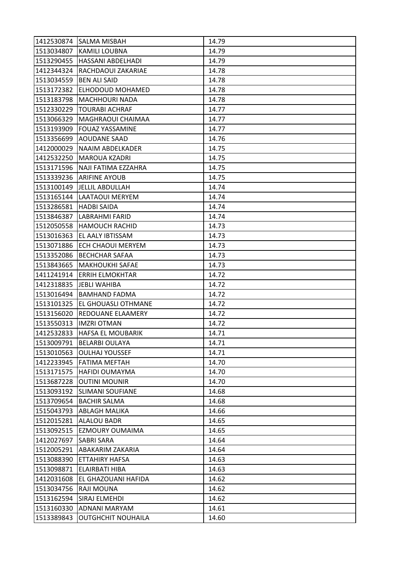|                         | 1412530874 SALMA MISBAH     | 14.79 |
|-------------------------|-----------------------------|-------|
| 1513034807              | <b>KAMILI LOUBNA</b>        | 14.79 |
| 1513290455              | HASSANI ABDELHADI           | 14.79 |
| 1412344324              | RACHDAOUI ZAKARIAE          | 14.78 |
| 1513034559              | <b>BEN ALI SAID</b>         | 14.78 |
| 1513172382              | <b>ELHODOUD MOHAMED</b>     | 14.78 |
| 1513183798              | <b>MACHHOURI NADA</b>       | 14.78 |
| 1512330229              | <b>TOURABI ACHRAF</b>       | 14.77 |
| 1513066329              | MAGHRAOUI CHAIMAA           | 14.77 |
| 1513193909              | <b>FOUAZ YASSAMINE</b>      | 14.77 |
| 1513356699              | <b>AOUDANE SAAD</b>         | 14.76 |
| 1412000029              | <b>NAAIM ABDELKADER</b>     | 14.75 |
| 1412532250              | <b>MAROUA KZADRI</b>        | 14.75 |
| 1513171596              | NAJI FATIMA EZZAHRA         | 14.75 |
| 1513339236              | <b>ARIFINE AYOUB</b>        | 14.75 |
| 1513100149              | <b>JELLIL ABDULLAH</b>      | 14.74 |
| 1513165144              | LAATAOUI MERYEM             | 14.74 |
| 1513286581              | <b>HADBI SAIDA</b>          | 14.74 |
| 1513846387              | LABRAHMI FARID              | 14.74 |
| 1512050558              | <b>HAMOUCH RACHID</b>       | 14.73 |
| 1513016363              | EL AALY IBTISSAM            | 14.73 |
| 1513071886              | <b>ECH CHAOUI MERYEM</b>    | 14.73 |
| 1513352086              | <b>BECHCHAR SAFAA</b>       | 14.73 |
| 1513843665              | <b>MAKHOUKHI SAFAE</b>      | 14.73 |
| 1411241914              | <b>ERRIH ELMOKHTAR</b>      | 14.72 |
| 1412318835              | <b>JEBLI WAHIBA</b>         | 14.72 |
| 1513016494              | <b>BAMHAND FADMA</b>        | 14.72 |
| 1513101325              | EL GHOUASLI OTHMANE         | 14.72 |
| 1513156020              | REDOUANE ELAAMERY           | 14.72 |
| 1513550313              | <b>IMZRI OTMAN</b>          | 14.72 |
| 1412532833              | <b>HAFSA EL MOUBARIK</b>    | 14.71 |
|                         | 1513009791   BELARBI OULAYA | 14.71 |
| 1513010563              | <b>OULHAJ YOUSSEF</b>       | 14.71 |
| 1412233945              | <b>FATIMA MEFTAH</b>        | 14.70 |
| 1513171575              | <b>HAFIDI OUMAYMA</b>       | 14.70 |
| 1513687228              | <b>OUTINI MOUNIR</b>        | 14.70 |
| 1513093192              | <b>SLIMANI SOUFIANE</b>     | 14.68 |
| 1513709654              | <b>BACHIR SALMA</b>         | 14.68 |
| 1515043793              | ABLAGH MALIKA               | 14.66 |
| 1512015281              | <b>ALALOU BADR</b>          | 14.65 |
| 1513092515              | EZMOURY OUMAIMA             | 14.65 |
| 1412027697   SABRI SARA |                             | 14.64 |
| 1512005291              | ABAKARIM ZAKARIA            | 14.64 |
| 1513088390              | <b>ETTAHIRY HAFSA</b>       | 14.63 |
| 1513098871              | <b>ELAIRBATI HIBA</b>       | 14.63 |
| 1412031608              | EL GHAZOUANI HAFIDA         | 14.62 |
| 1513034756              | RAJI MOUNA                  | 14.62 |
| 1513162594              | SIRAJ ELMEHDI               | 14.62 |
| 1513160330              | ADNANI MARYAM               | 14.61 |
| 1513389843              | <b>OUTGHCHIT NOUHAILA</b>   | 14.60 |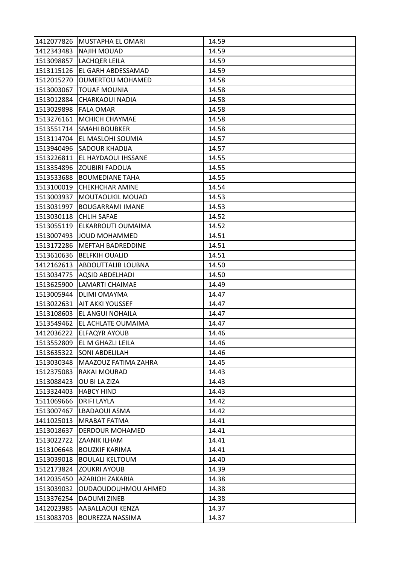|            | 1412077826 MUSTAPHA EL OMARI | 14.59 |
|------------|------------------------------|-------|
| 1412343483 | <b>NAJIH MOUAD</b>           | 14.59 |
| 1513098857 | LACHQER LEILA                | 14.59 |
| 1513115126 | EL GARH ABDESSAMAD           | 14.59 |
| 1512015270 | <b>OUMERTOU MOHAMED</b>      | 14.58 |
| 1513003067 | <b>TOUAF MOUNIA</b>          | 14.58 |
| 1513012884 | <b>CHARKAOUI NADIA</b>       | 14.58 |
| 1513029898 | <b>FALA OMAR</b>             | 14.58 |
|            | 1513276161   MCHICH CHAYMAE  | 14.58 |
| 1513551714 | <b>SMAHI BOUBKER</b>         | 14.58 |
| 1513114704 | EL MASLOHI SOUMIA            | 14.57 |
| 1513940496 | <b>SADOUR KHADIJA</b>        | 14.57 |
| 1513226811 | EL HAYDAOUI IHSSANE          | 14.55 |
|            | 1513354896 ZOUBIRI FADOUA    | 14.55 |
| 1513533688 | <b>BOUMEDIANE TAHA</b>       | 14.55 |
| 1513100019 | <b>CHEKHCHAR AMINE</b>       | 14.54 |
| 1513003937 | MOUTAOUKIL MOUAD             | 14.53 |
| 1513031997 | <b>BOUGARRAMI IMANE</b>      | 14.53 |
| 1513030118 | <b>CHLIH SAFAE</b>           | 14.52 |
| 1513055119 | ELKARROUTI OUMAIMA           | 14.52 |
| 1513007493 | JOUD MOHAMMED                | 14.51 |
| 1513172286 | <b>MEFTAH BADREDDINE</b>     | 14.51 |
| 1513610636 | <b>BELFKIH OUALID</b>        | 14.51 |
| 1412162613 | <b>ABDOUTTALIB LOUBNA</b>    | 14.50 |
| 1513034775 | <b>AQSID ABDELHADI</b>       | 14.50 |
| 1513625900 | <b>LAMARTI CHAIMAE</b>       | 14.49 |
| 1513005944 | <b>DLIMI OMAYMA</b>          | 14.47 |
| 1513022631 | <b>AIT AKKI YOUSSEF</b>      | 14.47 |
| 1513108603 | EL ANGUI NOHAILA             | 14.47 |
| 1513549462 | EL ACHLATE OUMAIMA           | 14.47 |
| 1412036222 | <b>ELFAQYR AYOUB</b>         | 14.46 |
|            | 1513552809 EL M GHAZLI LEILA | 14.46 |
|            | 1513635322 SONI ABDELILAH    | 14.46 |
| 1513030348 | MAAZOUZ FATIMA ZAHRA         | 14.45 |
| 1512375083 | RAKAI MOURAD                 | 14.43 |
| 1513088423 | OU BI LA ZIZA                | 14.43 |
| 1513324403 | <b>HABCY HIND</b>            | 14.43 |
| 1511069666 | <b>DRIFI LAYLA</b>           | 14.42 |
| 1513007467 | LBADAOUI ASMA                | 14.42 |
| 1411025013 | <b>MRABAT FATMA</b>          | 14.41 |
| 1513018637 | DERDOUR MOHAMED              | 14.41 |
|            | 1513022722 ZAANIK ILHAM      | 14.41 |
| 1513106648 | <b>BOUZKIF KARIMA</b>        | 14.41 |
| 1513039018 | <b>BOULALI KELTOUM</b>       | 14.40 |
| 1512173824 | <b>ZOUKRI AYOUB</b>          | 14.39 |
| 1412035450 | AZARIOH ZAKARIA              | 14.38 |
| 1513039032 | OUDAOUDOUHMOU AHMED          | 14.38 |
| 1513376254 | <b>DAOUMI ZINEB</b>          | 14.38 |
| 1412023985 | AABALLAOUI KENZA             | 14.37 |
| 1513083703 | BOUREZZA NASSIMA             | 14.37 |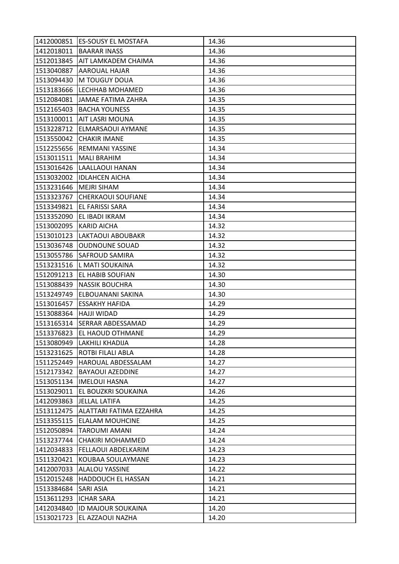|            | 1412000851 ES-SOUSY EL MOSTAFA | 14.36 |
|------------|--------------------------------|-------|
|            | 1412018011   BAARAR INASS      | 14.36 |
| 1512013845 | AIT LAMKADEM CHAIMA            | 14.36 |
| 1513040887 | AAROUAL HAJAR                  | 14.36 |
| 1513094430 | M TOUGUY DOUA                  | 14.36 |
| 1513183666 | LECHHAB MOHAMED                | 14.36 |
| 1512084081 | JAMAE FATIMA ZAHRA             | 14.35 |
| 1512165403 | <b>BACHA YOUNESS</b>           | 14.35 |
| 1513100011 | <b>AIT LASRI MOUNA</b>         | 14.35 |
| 1513228712 | ELMARSAOUI AYMANE              | 14.35 |
| 1513550042 | <b>CHAKIR IMANE</b>            | 14.35 |
| 1512255656 | <b>REMMANI YASSINE</b>         | 14.34 |
| 1513011511 | <b>MALI BRAHIM</b>             | 14.34 |
|            | 1513016426 LAALLAOUI HANAN     | 14.34 |
| 1513032002 | <b>IDLAHCEN AICHA</b>          | 14.34 |
| 1513231646 | <b>MEJRI SIHAM</b>             | 14.34 |
| 1513323767 | <b>CHERKAOUI SOUFIANE</b>      | 14.34 |
| 1513349821 | EL FARISSI SARA                | 14.34 |
| 1513352090 | EL IBADI IKRAM                 | 14.34 |
| 1513002095 | <b>KARID AICHA</b>             | 14.32 |
| 1513010123 | <b>LAKTAOUI ABOUBAKR</b>       | 14.32 |
| 1513036748 | <b>OUDNOUNE SOUAD</b>          | 14.32 |
| 1513055786 | <b>SAFROUD SAMIRA</b>          | 14.32 |
|            | 1513231516   LMATI SOUKAINA    | 14.32 |
| 1512091213 | <b>EL HABIB SOUFIAN</b>        | 14.30 |
| 1513088439 | <b>NASSIK BOUCHRA</b>          | 14.30 |
| 1513249749 | ELBOUANANI SAKINA              | 14.30 |
| 1513016457 | <b>ESSAKHY HAFIDA</b>          | 14.29 |
| 1513088364 | <b>HAJJI WIDAD</b>             | 14.29 |
| 1513165314 | SERRAR ABDESSAMAD              | 14.29 |
| 1513376823 | EL HAOUD OTHMANE               | 14.29 |
|            | 1513080949 LAKHILI KHADIJA     | 14.28 |
|            | 1513231625 ROTBI FILALI ABLA   | 14.28 |
| 1511252449 | HAROUAL ABDESSALAM             | 14.27 |
| 1512173342 | <b>BAYAOUI AZEDDINE</b>        | 14.27 |
| 1513051134 | <b>IMELOUI HASNA</b>           | 14.27 |
| 1513029011 | EL BOUZKRI SOUKAINA            | 14.26 |
| 1412093863 | <b>JELLAL LATIFA</b>           | 14.25 |
| 1513112475 | ALATTARI FATIMA EZZAHRA        | 14.25 |
| 1513355115 | <b>ELALAM MOUHCINE</b>         | 14.25 |
| 1512050894 | <b>TAROUMI AMANI</b>           | 14.24 |
| 1513237744 | <b>CHAKIRI MOHAMMED</b>        | 14.24 |
| 1412034833 | <b>FELLAOUI ABDELKARIM</b>     | 14.23 |
| 1511320421 | KOUBAA SOULAYMANE              | 14.23 |
| 1412007033 | ALALOU YASSINE                 | 14.22 |
| 1512015248 | HADDOUCH EL HASSAN             | 14.21 |
| 1513384684 | SARI ASIA                      | 14.21 |
| 1513611293 | <b>ICHAR SARA</b>              | 14.21 |
| 1412034840 | ID MAJOUR SOUKAINA             | 14.20 |
| 1513021723 | EL AZZAOUI NAZHA               | 14.20 |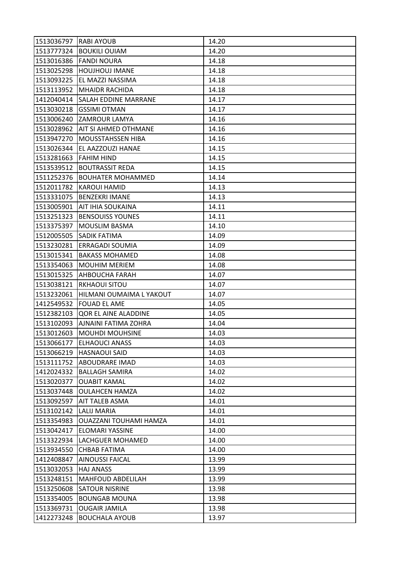| 1513036797 RABI AYOUB |                               | 14.20 |
|-----------------------|-------------------------------|-------|
|                       | 1513777324   BOUKILI OUIAM    | 14.20 |
| 1513016386            | <b>FANDI NOURA</b>            | 14.18 |
| 1513025298            | <b>HOUJHOUJ IMANE</b>         | 14.18 |
| 1513093225            | EL MAZZI NASSIMA              | 14.18 |
| 1513113952            | <b>MHAIDR RACHIDA</b>         | 14.18 |
| 1412040414            | ISALAH EDDINE MARRANE         | 14.17 |
| 1513030218            | <b>GSSIMI OTMAN</b>           | 14.17 |
| 1513006240            | <b>ZAMROUR LAMYA</b>          | 14.16 |
| 1513028962            | AIT SI AHMED OTHMANE          | 14.16 |
| 1513947270            | <b>MOUSSTAHSSEN HIBA</b>      | 14.16 |
| 1513026344            | EL AAZZOUZI HANAE             | 14.15 |
| 1513281663            | <b>FAHIM HIND</b>             | 14.15 |
| 1513539512            | <b>BOUTRASSIT REDA</b>        | 14.15 |
| 1511252376            | <b>BOUHATER MOHAMMED</b>      | 14.14 |
| 1512011782            | <b>KAROUI HAMID</b>           | 14.13 |
| 1513331075            | <b>BENZEKRI IMANE</b>         | 14.13 |
| 1513005901            | AIT IHIA SOUKAINA             | 14.11 |
| 1513251323            | <b>BENSOUISS YOUNES</b>       | 14.11 |
| 1513375397            | <b>MOUSLIM BASMA</b>          | 14.10 |
| 1512005505            | <b>SADIK FATIMA</b>           | 14.09 |
| 1513230281            | <b>ERRAGADI SOUMIA</b>        | 14.09 |
| 1513015341            | <b>BAKASS MOHAMED</b>         | 14.08 |
| 1513354063            | <b>MOUHIM MERIEM</b>          | 14.08 |
| 1513015325            | AHBOUCHA FARAH                | 14.07 |
| 1513038121            | <b>RKHAOUI SITOU</b>          | 14.07 |
| 1513232061            | HILMANI OUMAIMA L YAKOUT      | 14.07 |
| 1412549532            | <b>FOUAD EL AME</b>           | 14.05 |
| 1512382103            | QOR EL AINE ALADDINE          | 14.05 |
| 1513102093            | AJNAINI FATIMA ZOHRA          | 14.04 |
| 1513012603            | <b>MOUHDI MOUHSINE</b>        | 14.03 |
|                       | 1513066177 ELHAOUCI ANASS     | 14.03 |
|                       | 1513066219 HASNAOUI SAID      | 14.03 |
| 1513111752            | ABOUDRARE IMAD                | 14.03 |
| 1412024332            | <b>BALLAGH SAMIRA</b>         | 14.02 |
| 1513020377            | <b>OUABIT KAMAL</b>           | 14.02 |
| 1513037448            | <b>OULAHCEN HAMZA</b>         | 14.02 |
| 1513092597            | AIT TALEB ASMA                | 14.01 |
| 1513102142            | <b>LALIJ MARIA</b>            | 14.01 |
| 1513354983            | <b>OUAZZANI TOUHAMI HAMZA</b> | 14.01 |
| 1513042417            | <b>ELOMARI YASSINE</b>        | 14.00 |
| 1513322934            | LACHGUER MOHAMED              | 14.00 |
| 1513934550            | CHBAB FATIMA                  | 14.00 |
| 1412408847            | <b>AINOUSSI FAICAL</b>        | 13.99 |
| 1513032053            | <b>HAJ ANASS</b>              | 13.99 |
| 1513248151            | MAHFOUD ABDELILAH             | 13.99 |
| 1513250608            | <b>SATOUR NISRINE</b>         | 13.98 |
| 1513354005            | <b>BOUNGAB MOUNA</b>          | 13.98 |
| 1513369731            | <b>OUGAIR JAMILA</b>          | 13.98 |
|                       |                               |       |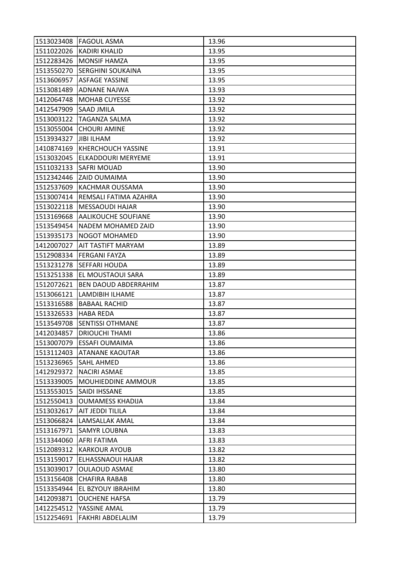|            | 1513023408 FAGOUL ASMA     | 13.96 |
|------------|----------------------------|-------|
|            | 1511022026 KADIRI KHALID   | 13.95 |
| 1512283426 | <b>MONSIF HAMZA</b>        | 13.95 |
| 1513550270 | <b>SERGHINI SOUKAINA</b>   | 13.95 |
| 1513606957 | <b>ASFAGE YASSINE</b>      | 13.95 |
| 1513081489 | <b>ADNANE NAJWA</b>        | 13.93 |
| 1412064748 | <b>MOHAB CUYESSE</b>       | 13.92 |
| 1412547909 | <b>SAAD JMILA</b>          | 13.92 |
| 1513003122 | <b>TAGANZA SALMA</b>       | 13.92 |
| 1513055004 | <b>CHOURI AMINE</b>        | 13.92 |
| 1513934327 | <b>JIBI ILHAM</b>          | 13.92 |
| 1410874169 | <b>KHERCHOUCH YASSINE</b>  | 13.91 |
| 1513032045 | ELKADDOURI MERYEME         | 13.91 |
| 1511032133 | <b>SAFRI MOUAD</b>         | 13.90 |
| 1512342446 | <b>ZAID OUMAIMA</b>        | 13.90 |
| 1512537609 | <b>KACHMAR OUSSAMA</b>     | 13.90 |
| 1513007414 | REMSALI FATIMA AZAHRA      | 13.90 |
| 1513022118 | MESSAOUDI HAJAR            | 13.90 |
| 1513169668 | AALIKOUCHE SOUFIANE        | 13.90 |
| 1513549454 | NADEM MOHAMED ZAID         | 13.90 |
| 1513935173 | <b>NOGOT MOHAMED</b>       | 13.90 |
| 1412007027 | AIT TASTIFT MARYAM         | 13.89 |
| 1512908334 | <b>FERGANI FAYZA</b>       | 13.89 |
| 1513231278 | <b>SEFFARI HOUDA</b>       | 13.89 |
| 1513251338 | EL MOUSTAOUI SARA          | 13.89 |
| 1512072621 | BEN DAOUD ABDERRAHIM       | 13.87 |
| 1513066121 | LAMDIBIH ILHAME            | 13.87 |
| 1513316588 | <b>BABAAL RACHID</b>       | 13.87 |
| 1513326533 | HABA REDA                  | 13.87 |
| 1513549708 | <b>SENTISSI OTHMANE</b>    | 13.87 |
| 1412034857 | <b>DRIOUCHI THAMI</b>      | 13.86 |
|            | 1513007079 ESSAFI OUMAIMA  | 13.86 |
|            | 1513112403 ATANANE KAOUTAR | 13.86 |
| 1513236965 | <b>SAHL AHMED</b>          | 13.86 |
| 1412929372 | NACIRI ASMAE               | 13.85 |
| 1513339005 | <b>MOUHIEDDINE AMMOUR</b>  | 13.85 |
|            | 1513553015   SAIDI IHSSANE | 13.85 |
| 1512550413 | <b>OUMAMESS KHADIJA</b>    | 13.84 |
| 1513032617 | AIT JEDDI TILILA           | 13.84 |
| 1513066824 | LAMSALLAK AMAL             | 13.84 |
| 1513167971 | <b>SAMYR LOUBNA</b>        | 13.83 |
| 1513344060 | AFRI FATIMA                | 13.83 |
| 1512089312 | <b>KARKOUR AYOUB</b>       | 13.82 |
| 1513159017 | ELHASSNAOUI HAJAR          | 13.82 |
| 1513039017 | <b>OULAOUD ASMAE</b>       | 13.80 |
| 1513156408 | <b>CHAFIRA RABAB</b>       | 13.80 |
| 1513354944 | EL BZYOUY IBRAHIM          | 13.80 |
| 1412093871 | <b>OUCHENE HAFSA</b>       | 13.79 |
| 1412254512 | YASSINE AMAL               | 13.79 |
| 1512254691 | <b>FAKHRI ABDELALIM</b>    | 13.79 |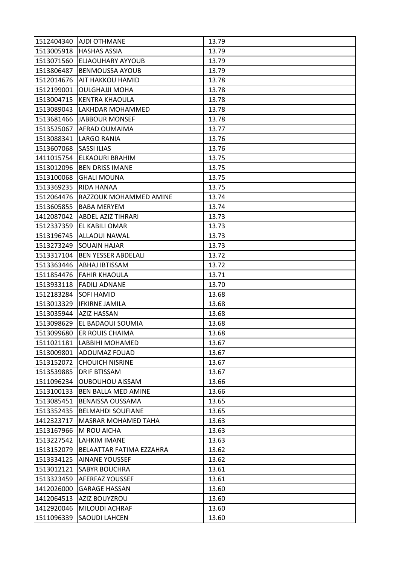|            | 1512404340   AJDI OTHMANE       | 13.79 |
|------------|---------------------------------|-------|
|            | 1513005918   HASHAS ASSIA       | 13.79 |
| 1513071560 | <b>ELJAOUHARY AYYOUB</b>        | 13.79 |
| 1513806487 | <b>BENMOUSSA AYOUB</b>          | 13.79 |
| 1512014676 | <b>AIT HAKKOU HAMID</b>         | 13.78 |
| 1512199001 | <b>OULGHAJJI MOHA</b>           | 13.78 |
| 1513004715 | <b>KENTRA KHAOULA</b>           | 13.78 |
| 1513089043 | LAKHDAR MOHAMMED                | 13.78 |
|            | 1513681466 JABBOUR MONSEF       | 13.78 |
| 1513525067 | AFRAD OUMAIMA                   | 13.77 |
| 1513088341 | <b>LARGO RANIA</b>              | 13.76 |
| 1513607068 | <b>SASSI ILIAS</b>              | 13.76 |
| 1411015754 | ELKAOURI BRAHIM                 | 13.75 |
| 1513012096 | <b>BEN DRISS IMANE</b>          | 13.75 |
| 1513100068 | <b>GHALI MOUNA</b>              | 13.75 |
| 1513369235 | <b>RIDA HANAA</b>               | 13.75 |
| 1512064476 | RAZZOUK MOHAMMED AMINE          | 13.74 |
| 1513605855 | <b>BABA MERYEM</b>              | 13.74 |
|            | 1412087042   ABDEL AZIZ TIHRARI | 13.73 |
| 1512337359 | EL KABILI OMAR                  | 13.73 |
| 1513196745 | <b>ALLAOUI NAWAL</b>            | 13.73 |
| 1513273249 | <b>SOUAIN HAJAR</b>             | 13.73 |
| 1513317104 | <b>BEN YESSER ABDELALI</b>      | 13.72 |
| 1513363446 | ABHAJ IBTISSAM                  | 13.72 |
|            | 1511854476 FAHIR KHAOULA        | 13.71 |
| 1513933118 | <b>FADILI ADNANE</b>            | 13.70 |
| 1512183284 | <b>SOFI HAMID</b>               | 13.68 |
| 1513013329 | <b>IFKIRNE JAMILA</b>           | 13.68 |
| 1513035944 | <b>AZIZ HASSAN</b>              | 13.68 |
| 1513098629 | EL BADAOUI SOUMIA               | 13.68 |
| 1513099680 | ER ROUIS CHAIMA                 | 13.68 |
|            | 1511021181  LABBIHI MOHAMED     | 13.67 |
| 1513009801 | <b>ADOUMAZ FOUAD</b>            | 13.67 |
| 1513152072 | <b>CHOUICH NISRINE</b>          | 13.67 |
| 1513539885 | <b>DRIF BTISSAM</b>             | 13.67 |
| 1511096234 | <b>OUBOUHOU AISSAM</b>          | 13.66 |
| 1513100133 | <b>BEN BALLA MED AMINE</b>      | 13.66 |
| 1513085451 | <b>BENAISSA OUSSAMA</b>         | 13.65 |
| 1513352435 | <b>BELMAHDI SOUFIANE</b>        | 13.65 |
| 1412323717 | <b>MASRAR MOHAMED TAHA</b>      | 13.63 |
| 1513167966 | M ROU AICHA                     | 13.63 |
| 1513227542 | <b>LAHKIM IMANE</b>             | 13.63 |
| 1513152079 | BELAATTAR FATIMA EZZAHRA        | 13.62 |
| 1513334125 | <b>AINANE YOUSSEF</b>           | 13.62 |
| 1513012121 | <b>SABYR BOUCHRA</b>            | 13.61 |
| 1513323459 | AFERFAZ YOUSSEF                 | 13.61 |
| 1412026000 | <b>GARAGE HASSAN</b>            | 13.60 |
| 1412064513 | AZIZ BOUYZROU                   | 13.60 |
| 1412920046 | MILOUDI ACHRAF                  | 13.60 |
| 1511096339 | SAOUDI LAHCEN                   | 13.60 |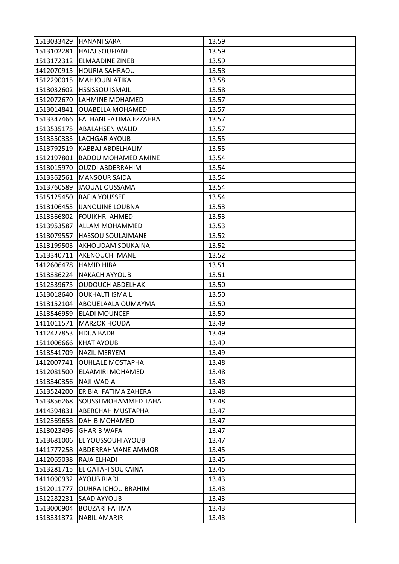|                       | 1513033429 HANANI SARA      | 13.59 |
|-----------------------|-----------------------------|-------|
| 1513102281            | <b>HAJAJ SOUFIANE</b>       | 13.59 |
| 1513172312            | <b>ELMAADINE ZINEB</b>      | 13.59 |
| 1412070915            | <b>HOURIA SAHRAOUI</b>      | 13.58 |
| 1512290015            | <b>MAHJOUBI ATIKA</b>       | 13.58 |
| 1513032602            | <b>HSSISSOU ISMAIL</b>      | 13.58 |
| 1512072670            | LAHMINE MOHAMED             | 13.57 |
| 1513014841            | <b>OUABELLA MOHAMED</b>     | 13.57 |
| 1513347466            | FATHANI FATIMA EZZAHRA      | 13.57 |
| 1513535175            | <b>ABALAHSEN WALID</b>      | 13.57 |
| 1513350333            | LACHGAR AYOUB               | 13.55 |
| 1513792519            | KABBAJ ABDELHALIM           | 13.55 |
| 1512197801            | <b>BADOU MOHAMED AMINE</b>  | 13.54 |
| 1513015970            | <b>OUZDI ABDERRAHIM</b>     | 13.54 |
| 1513362561            | <b>MANSOUR SAIDA</b>        | 13.54 |
| 1513760589            | JAOUAL OUSSAMA              | 13.54 |
| 1515125450            | RAFIA YOUSSEF               | 13.54 |
| 1513106453            | <b>IJANOUINE LOUBNA</b>     | 13.53 |
| 1513366802            | <b>FOUIKHRI AHMED</b>       | 13.53 |
| 1513953587            | ALLAM MOHAMMED              | 13.53 |
| 1513079557            | <b>HASSOU SOULAIMANE</b>    | 13.52 |
| 1513199503            | AKHOUDAM SOUKAINA           | 13.52 |
| 1513340711            | AKENOUCH IMANE              | 13.52 |
| 1412606478            | <b>HAMID HIBA</b>           | 13.51 |
| 1513386224            | <b>NAKACH AYYOUB</b>        | 13.51 |
| 1512339675            | <b>OUDOUCH ABDELHAK</b>     | 13.50 |
| 1513018640            | <b>OUKHALTI ISMAIL</b>      | 13.50 |
| 1513152104            | ABOUELAALA OUMAYMA          | 13.50 |
| 1513546959            | <b>ELADI MOUNCEF</b>        | 13.50 |
| 1411011571            | <b>MARZOK HOUDA</b>         | 13.49 |
| 1412427853            | <b>HDIJA BADR</b>           | 13.49 |
| 1511006666 KHAT AYOUB |                             | 13.49 |
|                       | 1513541709   NAZIL MERYEM   | 13.49 |
| 1412007741            | <b>OUHLALE MOSTAPHA</b>     | 13.48 |
| 1512081500            | ELAAMIRI MOHAMED            | 13.48 |
| 1513340356            | <b>NAJI WADIA</b>           | 13.48 |
| 1513524200            | ER BIAI FATIMA ZAHERA       | 13.48 |
| 1513856268            | <b>SOUSSI MOHAMMED TAHA</b> | 13.48 |
| 1414394831            | ABERCHAH MUSTAPHA           | 13.47 |
| 1512369658            | <b>DAHIB MOHAMED</b>        | 13.47 |
| 1513023496            | <b>GHARIB WAFA</b>          | 13.47 |
| 1513681006            | <b>EL YOUSSOUFI AYOUB</b>   | 13.47 |
| 1411777258            | ABDERRAHMANE AMMOR          | 13.45 |
| 1412065038            | RAJA ELHADI                 | 13.45 |
| 1513281715            | EL QATAFI SOUKAINA          | 13.45 |
| 1411090932            | <b>AYOUB RIADI</b>          | 13.43 |
| 1512011777            | <b>OUHRA ICHOU BRAHIM</b>   | 13.43 |
| 1512282231            | SAAD AYYOUB                 | 13.43 |
| 1513000904            | <b>BOUZARI FATIMA</b>       | 13.43 |
| 1513331372            | <b>NABIL AMARIR</b>         | 13.43 |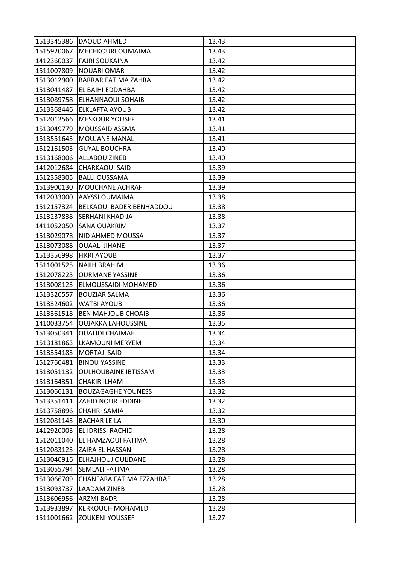|            | 1513345386 DAOUD AHMED      | 13.43 |
|------------|-----------------------------|-------|
| 1515920067 | <b>MECHKOURI OUMAIMA</b>    | 13.43 |
| 1412360037 | <b>FAJRI SOUKAINA</b>       | 13.42 |
| 1511007809 | <b>NOUARI OMAR</b>          | 13.42 |
| 1513012900 | <b>BARRAR FATIMA ZAHRA</b>  | 13.42 |
| 1513041487 | EL BAIHI EDDAHBA            | 13.42 |
| 1513089758 | <b>ELHANNAOUI SOHAIB</b>    | 13.42 |
| 1513368446 | <b>ELKLAFTA AYOUB</b>       | 13.42 |
| 1512012566 | <b>MESKOUR YOUSEF</b>       | 13.41 |
| 1513049779 | MOUSSAID ASSMA              | 13.41 |
| 1513551643 | <b>MOUJANE MANAL</b>        | 13.41 |
| 1512161503 | <b>GUYAL BOUCHRA</b>        | 13.40 |
| 1513168006 | ALLABOU ZINEB               | 13.40 |
| 1412012684 | <b>CHARKAOUI SAID</b>       | 13.39 |
| 1512358305 | <b>BALLI OUSSAMA</b>        | 13.39 |
| 1513900130 | <b>MOUCHANE ACHRAF</b>      | 13.39 |
| 1412033000 | AAYSSI OUMAIMA              | 13.38 |
| 1512157324 | BELKAOUI BADER BENHADDOU    | 13.38 |
| 1513237838 | <b>SERHANI KHADIJA</b>      | 13.38 |
| 1411052050 | <b>SANA OUAKRIM</b>         | 13.37 |
| 1513029078 | NID AHMED MOUSSA            | 13.37 |
| 1513073088 | <b>OUAALI JIHANE</b>        | 13.37 |
| 1513356998 | <b>FIKRI AYOUB</b>          | 13.37 |
| 1511001525 | <b>NAJIH BRAHIM</b>         | 13.36 |
| 1512078225 | <b>OURMANE YASSINE</b>      | 13.36 |
| 1513008123 | ELMOUSSAIDI MOHAMED         | 13.36 |
| 1513320557 | <b>BOUZIAR SALMA</b>        | 13.36 |
| 1513324602 | <b>WATBI AYOUB</b>          | 13.36 |
| 1513361518 | <b>BEN MAHJOUB CHOAIB</b>   | 13.36 |
| 1410033754 | <b>OUJAKKA LAHOUSSINE</b>   | 13.35 |
| 1513050341 | <b>OUALIDI CHAIMAE</b>      | 13.34 |
|            | 1513181863 LKAMOUNI MERYEM  | 13.34 |
| 1513354183 | <b>MORTAJI SAID</b>         | 13.34 |
| 1512760481 | <b>BINOU YASSINE</b>        | 13.33 |
| 1513051132 | <b>OULHOUBAINE IBTISSAM</b> | 13.33 |
| 1513164351 | <b>CHAKIR ILHAM</b>         | 13.33 |
| 1513066131 | <b>BOUZAGAGHE YOUNESS</b>   | 13.32 |
| 1513351411 | <b>ZAHID NOUR EDDINE</b>    | 13.32 |
| 1513758896 | <b>CHAHRI SAMIA</b>         | 13.32 |
| 1512081143 | <b>BACHAR LEILA</b>         | 13.30 |
| 1412920003 | EL IDRISSI RACHID           | 13.28 |
| 1512011040 | EL HAMZAOUI FATIMA          | 13.28 |
| 1512083123 | <b>ZAIRA EL HASSAN</b>      | 13.28 |
| 1513040916 | ELHAJHOUJ OUIJDANE          | 13.28 |
| 1513055794 | <b>SEMLALI FATIMA</b>       | 13.28 |
| 1513066709 | CHANFARA FATIMA EZZAHRAE    | 13.28 |
| 1513093737 | <b>LAADAM ZINEB</b>         | 13.28 |
| 1513606956 | <b>ARZMI BADR</b>           | 13.28 |
| 1513933897 | <b>KERKOUCH MOHAMED</b>     | 13.28 |
| 1511001662 | <b>ZOUKENI YOUSSEF</b>      | 13.27 |
|            |                             |       |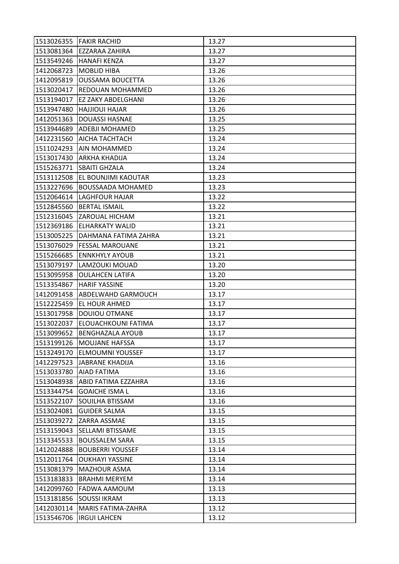|            | 1513026355 FAKIR RACHID       | 13.27 |
|------------|-------------------------------|-------|
| 1513081364 | EZZARAA ZAHIRA                | 13.27 |
| 1513549246 | HANAFI KENZA                  | 13.27 |
| 1412068723 | <b>MOBLID HIBA</b>            | 13.26 |
| 1412095819 | <b>OUSSAMA BOUCETTA</b>       | 13.26 |
| 1513020417 | <b>REDOUAN MOHAMMED</b>       | 13.26 |
| 1513194017 | <b>EZ ZAKY ABDELGHANI</b>     | 13.26 |
| 1513947480 | <b>HAJJIOUI HAJAR</b>         | 13.26 |
| 1412051363 | <b>DOUASSI HASNAE</b>         | 13.25 |
| 1513944689 | ADEBJI MOHAMED                | 13.25 |
| 1412231560 | AICHA TACHTACH                | 13.24 |
| 1511024293 | AIN MOHAMMED                  | 13.24 |
| 1513017430 | ARKHA KHADIJA                 | 13.24 |
| 1515263771 | <b>SBAITI GHZALA</b>          | 13.24 |
| 1513112508 | EL BOUNJIMI KAOUTAR           | 13.23 |
| 1513227696 | <b>BOUSSAADA MOHAMED</b>      | 13.23 |
| 1512064614 | <b>LAGHFOUR HAJAR</b>         | 13.22 |
| 1512845560 | <b>BERTAL ISMAIL</b>          | 13.22 |
| 1512316045 | <b>ZAROUAL HICHAM</b>         | 13.21 |
|            | 1512369186 ELHARKATY WALID    | 13.21 |
| 1513005225 | DAHMANA FATIMA ZAHRA          | 13.21 |
| 1513076029 | <b>FESSAL MAROUANE</b>        | 13.21 |
| 1515266685 | <b>ENNKHYLY AYOUB</b>         | 13.21 |
| 1513079197 | LAMZOUKI MOUAD                | 13.20 |
| 1513095958 | <b>OULAHCEN LATIFA</b>        | 13.20 |
| 1513354867 | <b>HARIF YASSINE</b>          | 13.20 |
| 1412091458 | ABDELWAHD GARMOUCH            | 13.17 |
| 1512225459 | <b>EL HOUR AHMED</b>          | 13.17 |
| 1513017958 | <b>DOUIOU OTMANE</b>          | 13.17 |
| 1513022037 | ELOUACHKOUNI FATIMA           | 13.17 |
| 1513099652 | <b>BENGHAZALA AYOUB</b>       | 13.17 |
|            | 1513199126   MOUJANE HAFSSA   | 13.17 |
|            | 1513249170   ELMOUMNI YOUSSEF | 13.17 |
| 1412297523 | JABRANE KHADIJA               | 13.16 |
| 1513033780 | <b>AIAD FATIMA</b>            | 13.16 |
| 1513048938 | ABID FATIMA EZZAHRA           | 13.16 |
| 1513344754 | <b>GOAICHE ISMA L</b>         | 13.16 |
| 1513522107 | SOUILHA BTISSAM               | 13.16 |
| 1513024081 | <b>GUIDER SALMA</b>           | 13.15 |
| 1513039272 | ZARRA ASSMAE                  | 13.15 |
| 1513159043 | SELLAMI BTISSAME              | 13.15 |
| 1513345533 | <b>BOUSSALEM SARA</b>         | 13.15 |
| 1412024888 | <b>BOUBERRI YOUSSEF</b>       | 13.14 |
| 1512011764 | <b>OUKHAYI YASSINE</b>        | 13.14 |
| 1513081379 | <b>MAZHOUR ASMA</b>           | 13.14 |
| 1513183833 | <b>BRAHMI MERYEM</b>          | 13.14 |
| 1412099760 | <b>FADWA AAMOUM</b>           | 13.13 |
| 1513181856 | <b>SOUSSI IKRAM</b>           | 13.13 |
| 1412030114 | <b>MARIS FATIMA-ZAHRA</b>     | 13.12 |
|            | 1513546706   IRGUI LAHCEN     | 13.12 |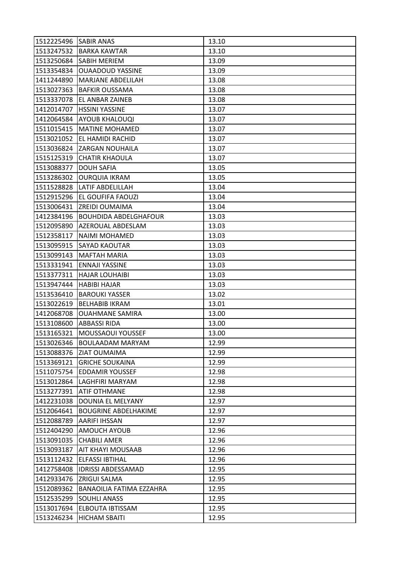| 1512225496   SABIR ANAS |                               | 13.10 |
|-------------------------|-------------------------------|-------|
|                         | 1513247532 BARKA KAWTAR       | 13.10 |
| 1513250684              | SABIH MERIEM                  | 13.09 |
| 1513354834              | <b>OUAADOUD YASSINE</b>       | 13.09 |
| 1411244890              | MARJANE ABDELILAH             | 13.08 |
| 1513027363              | <b>BAFKIR OUSSAMA</b>         | 13.08 |
| 1513337078              | EL ANBAR ZAINEB               | 13.08 |
| 1412014707              | <b>HSSINI YASSINE</b>         | 13.07 |
| 1412064584              | <b>AYOUB KHALOUQI</b>         | 13.07 |
| 1511015415              | <b>MATINE MOHAMED</b>         | 13.07 |
| 1513021052              | <b>EL HAMIDI RACHID</b>       | 13.07 |
| 1513036824              | <b>ZARGAN NOUHAILA</b>        | 13.07 |
| 1515125319              | <b>CHATIR KHAOULA</b>         | 13.07 |
| 1513088377              | <b>DOUH SAFIA</b>             | 13.05 |
| 1513286302              | <b>OURQUIA IKRAM</b>          | 13.05 |
| 1511528828              | <b>LATIF ABDELILLAH</b>       | 13.04 |
| 1512915296              | <b>EL GOUFIFA FAOUZI</b>      | 13.04 |
| 1513006431              | <b>ZREIDI OUMAIMA</b>         | 13.04 |
| 1412384196              | <b>BOUHDIDA ABDELGHAFOUR</b>  | 13.03 |
| 1512095890              | AZEROUAL ABDESLAM             | 13.03 |
| 1512358117              | NAIMI MOHAMED                 | 13.03 |
| 1513095915              | SAYAD KAOUTAR                 | 13.03 |
| 1513099143              | <b>MAFTAH MARIA</b>           | 13.03 |
| 1513331941              | <b>ENNAJI YASSINE</b>         | 13.03 |
| 1513377311              | <b>HAJAR LOUHAIBI</b>         | 13.03 |
| 1513947444              | <b>HABIBI HAJAR</b>           | 13.03 |
| 1513536410              | <b>BAROUKI YASSER</b>         | 13.02 |
| 1513022619              | <b>BELHABIB IKRAM</b>         | 13.01 |
| 1412068708              | <b>OUAHMANE SAMIRA</b>        | 13.00 |
| 1513108600              | <b>ABBASSI RIDA</b>           | 13.00 |
| 1513165321              | MOUSSAOUI YOUSSEF             | 13.00 |
|                         | 1513026346   BOULAADAM MARYAM | 12.99 |
|                         | 1513088376 ZIAT OUMAIMA       | 12.99 |
| 1513369121              | <b>GRICHE SOUKAINA</b>        | 12.99 |
| 1511075754              | <b>EDDAMIR YOUSSEF</b>        | 12.98 |
| 1513012864              | LAGHFIRI MARYAM               | 12.98 |
| 1513277391              | <b>ATIF OTHMANE</b>           | 12.98 |
| 1412231038              | DOUNIA EL MELYANY             | 12.97 |
| 1512064641              | <b>BOUGRINE ABDELHAKIME</b>   | 12.97 |
| 1512088789              | AARIFI IHSSAN                 | 12.97 |
| 1512404290              | AMOUCH AYOUB                  | 12.96 |
| 1513091035              | <b>CHABILI AMER</b>           | 12.96 |
| 1513093187              | AIT KHAYI MOUSAAB             | 12.96 |
| 1513112432              | ELFASSI IBTIHAL               | 12.96 |
| 1412758408              | <b>IDRISSI ABDESSAMAD</b>     | 12.95 |
| 1412933476              | <b>ZRIGUI SALMA</b>           | 12.95 |
| 1512089362              | BANAOILIA FATIMA EZZAHRA      | 12.95 |
| 1512535299              | <b>SOUHLI ANASS</b>           | 12.95 |
| 1513017694              | ELBOUTA IBTISSAM              | 12.95 |
| 1513246234              | <b>HICHAM SBAITI</b>          | 12.95 |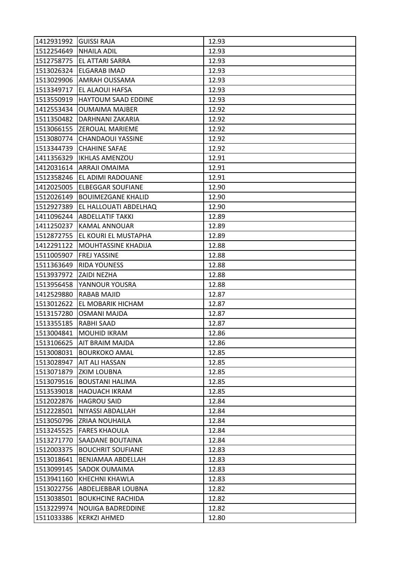| 1412931992 GUISSI RAJA |                                 | 12.93 |
|------------------------|---------------------------------|-------|
| 1512254649 NHAILA ADIL |                                 | 12.93 |
| 1512758775             | <b>EL ATTARI SARRA</b>          | 12.93 |
| 1513026324             | <b>ELGARAB IMAD</b>             | 12.93 |
| 1513029906             | <b>AMRAH OUSSAMA</b>            | 12.93 |
| 1513349717             | EL ALAOUI HAFSA                 | 12.93 |
| 1513550919             | HAYTOUM SAAD EDDINE             | 12.93 |
| 1412553434             | <b>OUMAIMA MAJBER</b>           | 12.92 |
| 1511350482             | DARHNANI ZAKARIA                | 12.92 |
|                        | 1513066155 ZEROUAL MARIEME      | 12.92 |
| 1513080774             | <b>CHANDAOUI YASSINE</b>        | 12.92 |
| 1513344739             | <b>CHAHINE SAFAE</b>            | 12.92 |
| 1411356329             | <b>IKHLAS AMENZOU</b>           | 12.91 |
|                        | 1412031614 ARRAJI OMAIMA        | 12.91 |
| 1512358246             | EL ADIMI RADOUANE               | 12.91 |
|                        | 1412025005 ELBEGGAR SOUFIANE    | 12.90 |
| 1512026149             | <b>BOUIMEZGANE KHALID</b>       | 12.90 |
| 1512927389             | EL HALLOUATI ABDELHAQ           | 12.90 |
| 1411096244             | <b>ABDELLATIF TAKKI</b>         | 12.89 |
| 1411250237             | <b>KAMAL ANNOUAR</b>            | 12.89 |
|                        | 1512872755 EL KOURI EL MUSTAPHA | 12.89 |
| 1412291122             | MOUHTASSINE KHADIJA             | 12.88 |
| 1511005907             | <b>FREJ YASSINE</b>             | 12.88 |
| 1511363649             | <b>RIDA YOUNESS</b>             | 12.88 |
| 1513937972 ZAIDI NEZHA |                                 | 12.88 |
| 1513956458             | YANNOUR YOUSRA                  | 12.88 |
| 1412529880             | RABAB MAJID                     | 12.87 |
| 1513012622             | EL MOBARIK HICHAM               | 12.87 |
| 1513157280             | <b>OSMANI MAJDA</b>             | 12.87 |
| 1513355185             | <b>RABHI SAAD</b>               | 12.87 |
| 1513004841             | MOUHID IKRAM                    | 12.86 |
|                        | 1513106625   AIT BRAIM MAJDA    | 12.86 |
| 1513008031             | <b>BOURKOKO AMAL</b>            | 12.85 |
| 1513028947             | <b>AIT ALI HASSAN</b>           | 12.85 |
| 1513071879             | <b>ZKIM LOUBNA</b>              | 12.85 |
| 1513079516             | <b>BOUSTANI HALIMA</b>          | 12.85 |
| 1513539018             | <b>HAOUACH IKRAM</b>            | 12.85 |
| 1512022876             | <b>HAGROU SAID</b>              | 12.84 |
| 1512228501             | NIYASSI ABDALLAH                | 12.84 |
| 1513050796             | <b>ZRIAA NOUHAILA</b>           | 12.84 |
| 1513245525             | <b>FARES KHAOULA</b>            | 12.84 |
| 1513271770             | <b>SAADANE BOUTAINA</b>         | 12.84 |
| 1512003375             | <b>BOUCHRIT SOUFIANE</b>        | 12.83 |
| 1513018641             | BENJAMAA ABDELLAH               | 12.83 |
| 1513099145             | <b>SADOK OUMAIMA</b>            | 12.83 |
| 1513941160             | KHECHNI KHAWLA                  | 12.83 |
| 1513022756             | ABDELJEBBAR LOUBNA              | 12.82 |
| 1513038501             | <b>BOUKHCINE RACHIDA</b>        | 12.82 |
| 1513229974             | NOUIGA BADREDDINE               | 12.82 |
| 1511033386             | <b>KERKZI AHMED</b>             | 12.80 |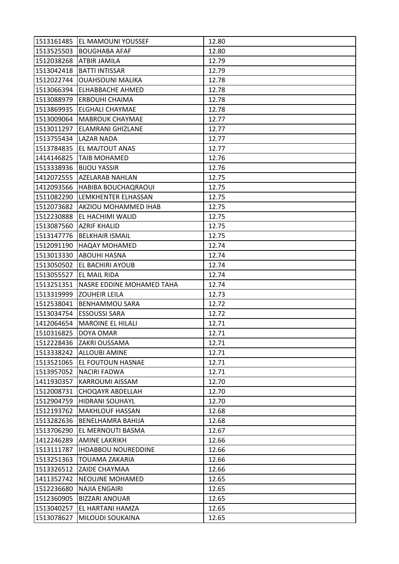|                          | 1513161485   EL MAMOUNI YOUSSEF  | 12.80 |
|--------------------------|----------------------------------|-------|
|                          | 1513525503 BOUGHABA AFAF         | 12.80 |
| 1512038268               | <b>ATBIR JAMILA</b>              | 12.79 |
| 1513042418               | <b>BATTI INTISSAR</b>            | 12.79 |
| 1512022744               | <b>OUAHSOUNI MALIKA</b>          | 12.78 |
|                          | 1513066394 ELHABBACHE AHMED      | 12.78 |
| 1513088979               | <b>ERBOUHI CHAIMA</b>            | 12.78 |
| 1513869935               | <b>ELGHALI CHAYMAE</b>           | 12.78 |
|                          | 1513009064   MABROUK CHAYMAE     | 12.77 |
| 1513011297               | <b>ELAMRANI GHIZLANE</b>         | 12.77 |
| 1513755434 LAZAR NADA    |                                  | 12.77 |
|                          | 1513784835   EL MAJTOUT ANAS     | 12.77 |
| 1414146825               | <b>TAIB MOHAMED</b>              | 12.76 |
| 1513338936               | <b>BIJOU YASSIR</b>              | 12.76 |
| 1412072555               | <b>AZELARAB NAHLAN</b>           | 12.75 |
|                          | 1412093566 HABIBA BOUCHAQRAOUI   | 12.75 |
| 1511082290               | LEMKHENTER ELHASSAN              | 12.75 |
| 1512073682               | <b>AKZIOU MOHAMMED IHAB</b>      | 12.75 |
| 1512230888               | <b>EL HACHIMI WALID</b>          | 12.75 |
|                          | 1513087560  AZRIF KHALID         | 12.75 |
|                          | 1513147776   BELKHAIR ISMAIL     | 12.75 |
| 1512091190               | <b>HAQAY MOHAMED</b>             | 12.74 |
| 1513013330               | <b>ABOUHI HASNA</b>              | 12.74 |
|                          | 1513050502 EL BACHIRI AYOUB      | 12.74 |
|                          | 1513055527 EL MAIL RIDA          | 12.74 |
| 1513251351               | <b>NASRE EDDINE MOHAMED TAHA</b> | 12.74 |
| 1513319999               | <b>ZOUHEIR LEILA</b>             | 12.73 |
| 1512538041               | <b>BENHAMMOU SARA</b>            | 12.72 |
| 1513034754               | <b>ESSOUSSI SARA</b>             | 12.72 |
| 1412064654               | <b>MAROINE EL HILALI</b>         | 12.71 |
| 1510316825               | DOYA OMAR                        | 12.71 |
|                          | 1512228436 ZAKRI OUSSAMA         | 12.71 |
|                          | 1513338242 ALLOUBI AMINE         | 12.71 |
| 1513521065               | EL FOUTOUN HASNAE                | 12.71 |
| 1513957052               | <b>NACIRI FADWA</b>              | 12.71 |
|                          | KARROUMI AISSAM                  | 12.70 |
| 1411930357<br>1512008731 | <b>CHOQAYR ABDELLAH</b>          | 12.70 |
| 1512904759               |                                  | 12.70 |
|                          | <b>HIDRANI SOUHAYL</b>           |       |
| 1512193762<br>1513282636 | <b>MAKHLOUF HASSAN</b>           | 12.68 |
|                          | <b>BENELHAMRA BAHIJA</b>         | 12.68 |
| 1513706290               | EL MERNOUTI BASMA                | 12.67 |
| 1412246289               | <b>AMINE LAKRIKH</b>             | 12.66 |
| 1513111787               | <b>IHDABBOU NOUREDDINE</b>       | 12.66 |
| 1513251363               | <b>TOUAMA ZAKARIA</b>            | 12.66 |
| 1513326512               | <b>ZAIDE CHAYMAA</b>             | 12.66 |
| 1411352742               | <b>NEOUJNE MOHAMED</b>           | 12.65 |
| 1512236680               | <b>NAJIA ENGAIRI</b>             | 12.65 |
| 1512360905               | <b>BIZZARI ANOUAR</b>            | 12.65 |
| 1513040257               | EL HARTANI HAMZA                 | 12.65 |
| 1513078627               | MILOUDI SOUKAINA                 | 12.65 |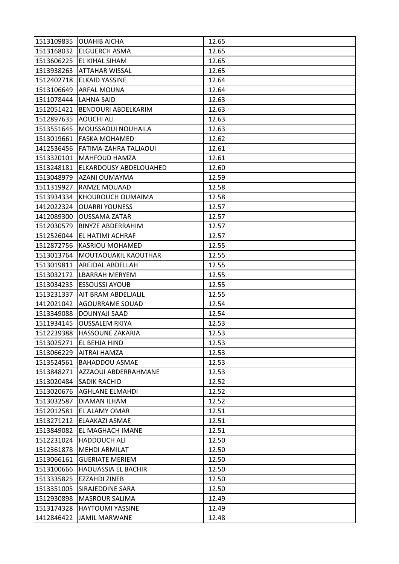| 1513109835 | <b>OUAHIB AICHA</b>           | 12.65 |
|------------|-------------------------------|-------|
|            | 1513168032 ELGUERCH ASMA      | 12.65 |
| 1513606225 | <b>EL KIHAL SIHAM</b>         | 12.65 |
| 1513938263 | <b>ATTAHAR WISSAL</b>         | 12.65 |
| 1512402718 | <b>ELKAID YASSINE</b>         | 12.64 |
| 1513106649 | <b>ARFAL MOUNA</b>            | 12.64 |
| 1511078444 | <b>LAHNA SAID</b>             | 12.63 |
| 1512051421 | BENDOURI ABDELKARIM           | 12.63 |
| 1512897635 | <b>AOUCHI ALI</b>             | 12.63 |
| 1513551645 | MOUSSAOUI NOUHAILA            | 12.63 |
| 1513019661 | <b>FASKA MOHAMED</b>          | 12.62 |
| 1412536456 | <b>FATIMA-ZAHRA TALJAOUI</b>  | 12.61 |
| 1513320101 | <b>MAHFOUD HAMZA</b>          | 12.61 |
| 1513248181 | <b>ELKARDOUSY ABDELOUAHED</b> | 12.60 |
| 1513048979 | AZANI OUMAYMA                 | 12.59 |
| 1511319927 | <b>RAMZE MOUAAD</b>           | 12.58 |
| 1513934334 | KHOUROUCH OUMAIMA             | 12.58 |
| 1412022324 | <b>OUARRI YOUNESS</b>         | 12.57 |
| 1412089300 | <b>OUSSAMA ZATAR</b>          | 12.57 |
| 1512030579 | <b>BINYZE ABDERRAHIM</b>      | 12.57 |
| 1512526044 | <b>EL HATIMI ACHRAF</b>       | 12.57 |
| 1512872756 | <b>KASRIOU MOHAMED</b>        | 12.55 |
| 1513013764 | MOUTAOUAKIL KAOUTHAR          | 12.55 |
| 1513019811 | AREJDAL ABDELLAH              | 12.55 |
| 1513032172 | LBARRAH MERYEM                | 12.55 |
| 1513034235 | <b>ESSOUSSI AYOUB</b>         | 12.55 |
| 1513231337 | AIT BRAM ABDELJALIL           | 12.55 |
| 1412021042 | AGOURRAME SOUAD               | 12.54 |
| 1513349088 | DOUNYAJI SAAD                 | 12.54 |
| 1511934145 | <b>OUSSALEM RKIYA</b>         | 12.53 |
| 1512239388 | <b>HASSOUNE ZAKARIA</b>       | 12.53 |
|            | 1513025271  EL BEHJA HIND     | 12.53 |
| 1513066229 | <b>AITRAI HAMZA</b>           | 12.53 |
| 1513524561 | <b>BAHADDOU ASMAE</b>         | 12.53 |
| 1513848271 | AZZAOUI ABDERRAHMANE          | 12.53 |
| 1513020484 | <b>SADIK RACHID</b>           | 12.52 |
| 1513020676 | <b>AGHLANE ELMAHDI</b>        | 12.52 |
| 1513032587 | <b>DIAMAN ILHAM</b>           | 12.52 |
| 1512012581 | EL ALAMY OMAR                 | 12.51 |
| 1513271212 | ELAAKAZI ASMAE                | 12.51 |
| 1513849082 | EL MAGHACH IMANE              | 12.51 |
| 1512231024 | <b>HADDOUCH ALI</b>           | 12.50 |
| 1512361878 | <b>MEHDI ARMILAT</b>          | 12.50 |
| 1513066161 | <b>GUERIATE MERIEM</b>        | 12.50 |
| 1513100666 | <b>HAOUASSIA EL BACHIR</b>    | 12.50 |
| 1513335825 | <b>EZZAHDI ZINEB</b>          | 12.50 |
| 1513351005 | <b>SIRAJEDDINE SARA</b>       | 12.50 |
| 1512930898 | <b>MASROUR SALIMA</b>         | 12.49 |
| 1513174328 | <b>HAYTOUMI YASSINE</b>       | 12.49 |
| 1412846422 | <b>JAMIL MARWANE</b>          | 12.48 |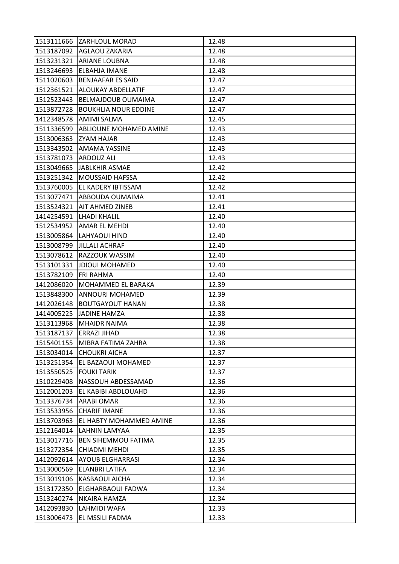|            | 1513111666 ZARHLOUL MORAD     | 12.48 |
|------------|-------------------------------|-------|
| 1513187092 | AGLAOU ZAKARIA                | 12.48 |
| 1513231321 | <b>ARIANE LOUBNA</b>          | 12.48 |
| 1513246693 | <b>ELBAHJA IMANE</b>          | 12.48 |
| 1511020603 | <b>BENJAAFAR ES SAID</b>      | 12.47 |
| 1512361521 | ALOUKAY ABDELLATIF            | 12.47 |
| 1512523443 | <b>BELMAJDOUB OUMAIMA</b>     | 12.47 |
| 1513872728 | <b>BOUKHLIA NOUR EDDINE</b>   | 12.47 |
| 1412348578 | <b>AMIMI SALMA</b>            | 12.45 |
| 1511336599 | ABLIOUNE MOHAMED AMINE        | 12.43 |
| 1513006363 | <b>ZYAM HAJAR</b>             | 12.43 |
| 1513343502 | AMAMA YASSINE                 | 12.43 |
| 1513781073 | ARDOUZ ALI                    | 12.43 |
| 1513049665 | <b>JABLKHIR ASMAE</b>         | 12.42 |
| 1513251342 | <b>MOUSSAID HAFSSA</b>        | 12.42 |
| 1513760005 | EL KADERY IBTISSAM            | 12.42 |
| 1513077471 | ABBOUDA OUMAIMA               | 12.41 |
| 1513524321 | AIT AHMED ZINEB               | 12.41 |
| 1414254591 | <b>LHADI KHALIL</b>           | 12.40 |
| 1512534952 | AMAR EL MEHDI                 | 12.40 |
| 1513005864 | <b>LAHYAOUI HIND</b>          | 12.40 |
| 1513008799 | <b>JILLALI ACHRAF</b>         | 12.40 |
| 1513078612 | <b>RAZZOUK WASSIM</b>         | 12.40 |
| 1513101331 | <b>JDIOUI MOHAMED</b>         | 12.40 |
| 1513782109 | <b>FRI RAHMA</b>              | 12.40 |
| 1412086020 | MOHAMMED EL BARAKA            | 12.39 |
| 1513848300 | ANNOURI MOHAMED               | 12.39 |
| 1412026148 | <b>BOUTGAYOUT HANAN</b>       | 12.38 |
| 1414005225 | <b>JADINE HAMZA</b>           | 12.38 |
| 1513113968 | <b>MHAIDR NAIMA</b>           | 12.38 |
| 1513187137 | <b>ERRAZI JIHAD</b>           | 12.38 |
|            | 1515401155 MIBRA FATIMA ZAHRA | 12.38 |
| 1513034014 | <b>CHOUKRI AICHA</b>          | 12.37 |
| 1513251354 | EL BAZAOUI MOHAMED            | 12.37 |
| 1513550525 | <b>FOUKI TARIK</b>            | 12.37 |
| 1510229408 | NASSOUH ABDESSAMAD            | 12.36 |
| 1512001203 | EL KABIBI ABDLOUAHD           | 12.36 |
| 1513376734 | ARABI OMAR                    | 12.36 |
| 1513533956 | <b>CHARIF IMANE</b>           | 12.36 |
| 1513703963 | EL HABTY MOHAMMED AMINE       | 12.36 |
| 1512164014 | LAHNIN LAMYAA                 | 12.35 |
| 1513017716 | <b>BEN SIHEMMOU FATIMA</b>    | 12.35 |
| 1513272354 | <b>CHIADMI MEHDI</b>          | 12.35 |
| 1412092614 | AYOUB ELGHARRASI              | 12.34 |
| 1513000569 | <b>ELANBRI LATIFA</b>         | 12.34 |
| 1513019106 | KASBAOUI AICHA                | 12.34 |
| 1513172350 | ELGHARBAOUI FADWA             | 12.34 |
| 1513240274 | <b>NKAIRA HAMZA</b>           | 12.34 |
| 1412093830 | LAHMIDI WAFA                  | 12.33 |
| 1513006473 | EL MSSILI FADMA               | 12.33 |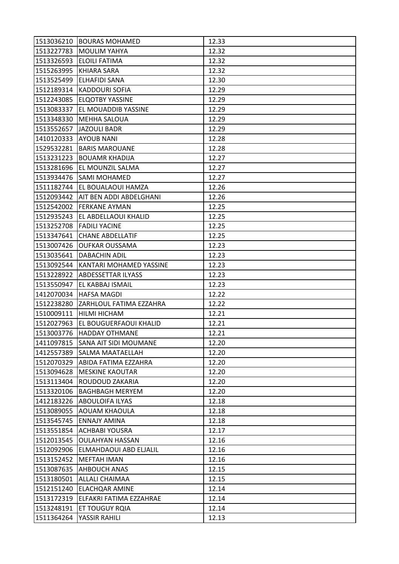|                        | 1513036210 BOURAS MOHAMED           | 12.33 |
|------------------------|-------------------------------------|-------|
|                        | 1513227783   MOULIM YAHYA           | 12.32 |
|                        | 1513326593  ELOILI FATIMA           | 12.32 |
| 1515263995 KHIARA SARA |                                     | 12.32 |
| 1513525499             | <b>ELHAFIDI SANA</b>                | 12.30 |
|                        | 1512189314  KADDOURI SOFIA          | 12.29 |
|                        | 1512243085 ELQOTBY YASSINE          | 12.29 |
| 1513083337             | EL MOUADDIB YASSINE                 | 12.29 |
| 1513348330             | <b>MEHHA SALOUA</b>                 | 12.29 |
|                        | 1513552657 JAZOULI BADR             | 12.29 |
| 1410120333 AYOUB NANI  |                                     | 12.28 |
| 1529532281             | <b>BARIS MAROUANE</b>               | 12.28 |
| 1513231223             | <b>BOUAMR KHADIJA</b>               | 12.27 |
|                        | 1513281696 EL MOUNZIL SALMA         | 12.27 |
|                        | 1513934476 SAMI MOHAMED             | 12.27 |
|                        | 1511182744 EL BOUALAOUI HAMZA       | 12.26 |
|                        | 1512093442  AIT BEN ADDI ABDELGHANI | 12.26 |
| 1512542002             | FERKANE AYMAN                       | 12.25 |
|                        | 1512935243 EL ABDELLAOUI KHALID     | 12.25 |
|                        | 1513252708 FADILI YACINE            | 12.25 |
| 1513347641             | <b>CHANE ABDELLATIF</b>             | 12.25 |
| 1513007426             | OUFKAR OUSSAMA                      | 12.23 |
| 1513035641             | <b>DABACHIN ADIL</b>                | 12.23 |
| 1513092544             | KANTARI MOHAMED YASSINE             | 12.23 |
|                        | 1513228922  ABDESSETTAR ILYASS      | 12.23 |
|                        |                                     |       |
|                        | 1513550947 EL KABBAJ ISMAIL         | 12.23 |
| 1412070034             | <b>HAFSA MAGDI</b>                  | 12.22 |
| 1512238280             | ZARHLOUL FATIMA EZZAHRA             | 12.22 |
|                        | 1510009111 HILMI HICHAM             | 12.21 |
| 1512027963             | EL BOUGUERFAOUI KHALID              | 12.21 |
| 1513003776             | <b>HADDAY OTHMANE</b>               | 12.21 |
|                        | 1411097815 SANA AIT SIDI MOUMANE    | 12.20 |
| 1412557389             | <b>SALMA MAATAELLAH</b>             | 12.20 |
| 1512070329             | ABIDA FATIMA EZZAHRA                | 12.20 |
| 1513094628             | <b>MESKINE KAOUTAR</b>              | 12.20 |
| 1513113404             | ROUDOUD ZAKARIA                     | 12.20 |
| 1513320106             | <b>BAGHBAGH MERYEM</b>              | 12.20 |
| 1412183226             | <b>ABOULOIFA ILYAS</b>              | 12.18 |
| 1513089055             | <b>AOUAM KHAOULA</b>                | 12.18 |
| 1513545745             | <b>ENNAJY AMINA</b>                 | 12.18 |
|                        | 1513551854   ACHBABI YOUSRA         | 12.17 |
| 1512013545             | <b>OULAHYAN HASSAN</b>              | 12.16 |
| 1512092906             | ELMAHDAOUI ABD ELJALIL              | 12.16 |
| 1513152452             | <b>MEFTAH IMAN</b>                  | 12.16 |
| 1513087635             | <b>AHBOUCH ANAS</b>                 | 12.15 |
| 1513180501             | <b>ALLALI CHAIMAA</b>               | 12.15 |
| 1512151240             | <b>ELACHQAR AMINE</b>               | 12.14 |
| 1513172319             | ELFAKRI FATIMA EZZAHRAE             | 12.14 |
| 1513248191             | ET TOUGUY ROIA                      | 12.14 |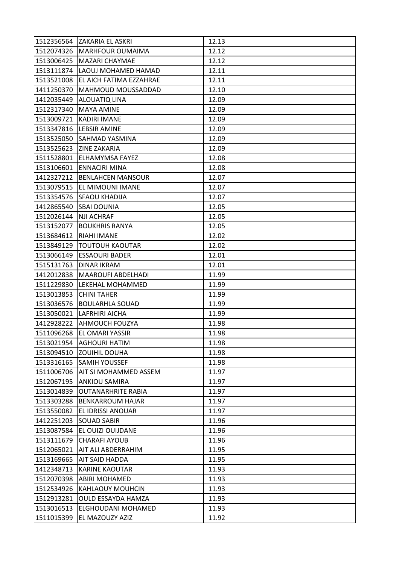|            | 1512356564 ZAKARIA EL ASKRI   | 12.13 |
|------------|-------------------------------|-------|
|            | 1512074326   MARHFOUR OUMAIMA | 12.12 |
| 1513006425 | <b>MAZARI CHAYMAE</b>         | 12.12 |
| 1513111874 | LAOUJ MOHAMED HAMAD           | 12.11 |
| 1513521008 | EL AICH FATIMA EZZAHRAE       | 12.11 |
| 1411250370 | <b>MAHMOUD MOUSSADDAD</b>     | 12.10 |
| 1412035449 | <b>ALOUATIQ LINA</b>          | 12.09 |
| 1512317340 | <b>MAYA AMINE</b>             | 12.09 |
|            | 1513009721 KADIRI IMANE       | 12.09 |
|            | 1513347816 LEBSIR AMINE       | 12.09 |
|            | 1513525050 SAHMAD YASMINA     | 12.09 |
|            | 1513525623 ZINE ZAKARIA       | 12.09 |
| 1511528801 | <b>ELHAMYMSA FAYEZ</b>        | 12.08 |
|            | 1513106601 ENNACIRI MINA      | 12.08 |
| 1412327212 | <b>BENLAHCEN MANSOUR</b>      | 12.07 |
|            | 1513079515   EL MIMOUNI IMANE | 12.07 |
| 1513354576 | <b>SFAOU KHADIJA</b>          | 12.07 |
| 1412865540 | <b>SBAI DOUNIA</b>            | 12.05 |
| 1512026144 | NJI ACHRAF                    | 12.05 |
| 1513152077 | <b>BOUKHRIS RANYA</b>         | 12.05 |
| 1513684612 | <b>RIAHI IMANE</b>            | 12.02 |
| 1513849129 | <b>TOUTOUH KAOUTAR</b>        | 12.02 |
| 1513066149 | <b>ESSAOURI BADER</b>         | 12.01 |
| 1515131763 | <b>DINAR IKRAM</b>            | 12.01 |
| 1412012838 | <b>MAAROUFI ABDELHADI</b>     | 11.99 |
| 1511229830 | LEKEHAL MOHAMMED              | 11.99 |
| 1513013853 | <b>CHINI TAHER</b>            | 11.99 |
| 1513036576 | <b>BOULARHLA SOUAD</b>        | 11.99 |
| 1513050021 | <b>LAFRHIRI AICHA</b>         | 11.99 |
|            | 1412928222 AHMOUCH FOUZYA     | 11.98 |
| 1511096268 | EL OMARI YASSIR               | 11.98 |
|            | 1513021954   AGHOURI HATIM    | 11.98 |
|            | 1513094510 ZOUIHIL DOUHA      | 11.98 |
| 1513316165 | <b>SAMIH YOUSSEF</b>          | 11.98 |
| 1511006706 | AIT SI MOHAMMED ASSEM         | 11.97 |
| 1512067195 | <b>ANKIOU SAMIRA</b>          | 11.97 |
| 1513014839 | <b>OUTANARHRITE RABIA</b>     | 11.97 |
| 1513303288 | <b>BENKARROUM HAJAR</b>       | 11.97 |
| 1513550082 | EL IDRISSI ANOUAR             | 11.97 |
| 1412251203 | <b>SOUAD SABIR</b>            | 11.96 |
| 1513087584 | EL OUIZI OUIJDANE             | 11.96 |
| 1513111679 | <b>CHARAFI AYOUB</b>          | 11.96 |
| 1512065021 | AIT ALI ABDERRAHIM            | 11.95 |
| 1513169665 | <b>AIT SAID HADDA</b>         | 11.95 |
| 1412348713 | <b>KARINE KAOUTAR</b>         | 11.93 |
| 1512070398 | <b>ABIRI MOHAMED</b>          | 11.93 |
| 1512534926 | <b>KAHLAOUY MOUHCIN</b>       | 11.93 |
| 1512913281 | <b>OULD ESSAYDA HAMZA</b>     | 11.93 |
| 1513016513 | ELGHOUDANI MOHAMED            | 11.93 |
| 1511015399 | EL MAZOUZY AZIZ               | 11.92 |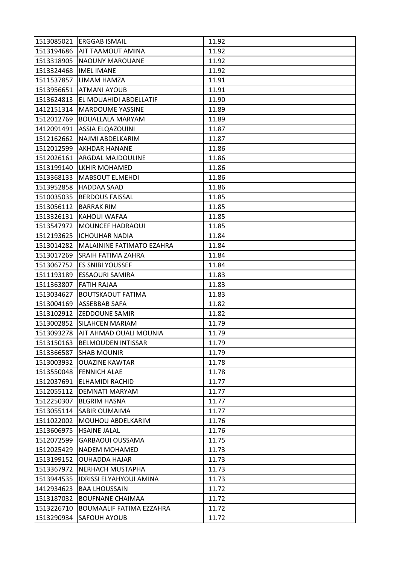|            | 1513085021 ERGGAB ISMAIL        | 11.92 |
|------------|---------------------------------|-------|
| 1513194686 | <b>AIT TAAMOUT AMINA</b>        | 11.92 |
| 1513318905 | NAOUNY MAROUANE                 | 11.92 |
| 1513324468 | <b>IMEL IMANE</b>               | 11.92 |
| 1511537857 | LIMAM HAMZA                     | 11.91 |
| 1513956651 | ATMANI AYOUB                    | 11.91 |
| 1513624813 | EL MOUAHIDI ABDELLATIF          | 11.90 |
| 1412151314 | <b>MARDOUME YASSINE</b>         | 11.89 |
| 1512012769 | <b>BOUALLALA MARYAM</b>         | 11.89 |
| 1412091491 | <b>ASSIA ELQAZOUINI</b>         | 11.87 |
| 1512162662 | NAJMI ABDELKARIM                | 11.87 |
| 1512012599 | AKHDAR HANANE                   | 11.86 |
| 1512026161 | ARGDAL MAJDOULINE               | 11.86 |
| 1513199140 | <b>LKHIR MOHAMED</b>            | 11.86 |
| 1513368133 | <b>MABSOUT ELMEHDI</b>          | 11.86 |
| 1513952858 | <b>HADDAA SAAD</b>              | 11.86 |
| 1510035035 | <b>BERDOUS FAISSAL</b>          | 11.85 |
| 1513056112 | <b>BARRAK RIM</b>               | 11.85 |
| 1513326131 | KAHOUI WAFAA                    | 11.85 |
| 1513547972 | <b>MOUNCEF HADRAOUI</b>         | 11.85 |
| 1512193625 | <b>ICHOUHAR NADIA</b>           | 11.84 |
| 1513014282 | MALAININE FATIMATO EZAHRA       | 11.84 |
| 1513017269 | <b>SRAIH FATIMA ZAHRA</b>       | 11.84 |
| 1513067752 | <b>ES SNIBI YOUSSEF</b>         | 11.84 |
| 1511193189 | <b>ESSAOURI SAMIRA</b>          | 11.83 |
| 1511363807 | <b>FATIH RAJAA</b>              | 11.83 |
| 1513034627 | <b>BOUTSKAOUT FATIMA</b>        | 11.83 |
| 1513004169 | ASSEBBAB SAFA                   | 11.82 |
| 1513102912 | <b>ZEDDOUNE SAMIR</b>           | 11.82 |
| 1513002852 | <b>SILAHCEN MARIAM</b>          | 11.79 |
| 1513093278 | AIT AHMAD OUALI MOUNIA          | 11.79 |
|            | 1513150163 BELMOUDEN INTISSAR   | 11.79 |
| 1513366587 | <b>SHAB MOUNIR</b>              | 11.79 |
| 1513003932 | <b>OUAZINE KAWTAR</b>           | 11.78 |
| 1513550048 | <b>FENNICH ALAE</b>             | 11.78 |
| 1512037691 | <b>ELHAMIDI RACHID</b>          | 11.77 |
| 1512055112 | <b>DEMNATI MARYAM</b>           | 11.77 |
| 1512250307 | <b>BLGRIM HASNA</b>             | 11.77 |
| 1513055114 | SABIR OUMAIMA                   | 11.77 |
| 1511022002 | MOUHOU ABDELKARIM               | 11.76 |
| 1513606975 | <b>HSAINE JALAL</b>             | 11.76 |
| 1512072599 | <b>GARBAOUI OUSSAMA</b>         | 11.75 |
| 1512025429 | <b>NADEM MOHAMED</b>            | 11.73 |
| 1513199152 | <b>OUHADDA HAJAR</b>            | 11.73 |
| 1513367972 | <b>NERHACH MUSTAPHA</b>         | 11.73 |
| 1513944535 | <b>IDRISSI ELYAHYOUI AMINA</b>  | 11.73 |
| 1412934623 | <b>BAA LHOUSSAIN</b>            | 11.72 |
| 1513187032 | <b>BOUFNANE CHAIMAA</b>         | 11.72 |
| 1513226710 | <b>BOUMAALIF FATIMA EZZAHRA</b> | 11.72 |
| 1513290934 | SAFOUH AYOUB                    | 11.72 |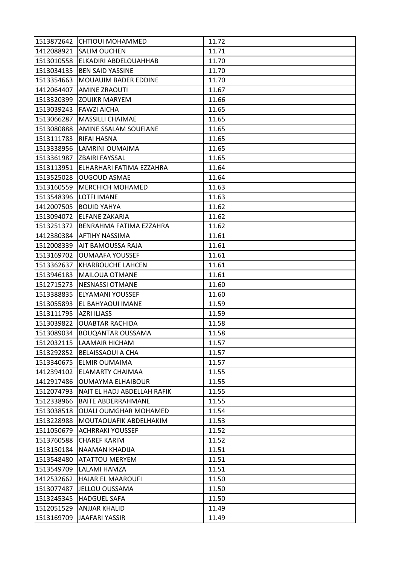|            | 1513872642 CHTIOUI MOHAMMED         | 11.72 |
|------------|-------------------------------------|-------|
|            | 1412088921 SALIM OUCHEN             | 11.71 |
| 1513010558 | ELKADIRI ABDELOUAHHAB               | 11.70 |
| 1513034135 | <b>BEN SAID YASSINE</b>             | 11.70 |
| 1513354663 | MOUAUIM BADER EDDINE                | 11.70 |
| 1412064407 | <b>AMINE ZRAOUTI</b>                | 11.67 |
|            | 1513320399 ZOUIKR MARYEM            | 11.66 |
| 1513039243 | <b>FAWZI AICHA</b>                  | 11.65 |
| 1513066287 | <b>MASSILLI CHAIMAE</b>             | 11.65 |
| 1513080888 | AMINE SSALAM SOUFIANE               | 11.65 |
| 1513111783 | <b>RIFAI HASNA</b>                  | 11.65 |
| 1513338956 | LAMRINI OUMAIMA                     | 11.65 |
|            | 1513361987 ZBAIRI FAYSSAL           | 11.65 |
|            | 1513113951 ELHARHARI FATIMA EZZAHRA | 11.64 |
| 1513525028 | <b>OUGOUD ASMAE</b>                 | 11.64 |
| 1513160559 | <b>MERCHICH MOHAMED</b>             | 11.63 |
| 1513548396 | <b>LOTFI IMANE</b>                  | 11.63 |
| 1412007505 | <b>BOUID YAHYA</b>                  | 11.62 |
|            | 1513094072 ELFANE ZAKARIA           | 11.62 |
| 1513251372 | BENRAHMA FATIMA EZZAHRA             | 11.62 |
| 1412380384 | <b>AFTIHY NASSIMA</b>               | 11.61 |
| 1512008339 | AIT BAMOUSSA RAJA                   | 11.61 |
| 1513169702 | <b>OUMAAFA YOUSSEF</b>              | 11.61 |
| 1513362637 | <b>KHARBOUCHE LAHCEN</b>            | 11.61 |
| 1513946183 | <b>MAILOUA OTMANE</b>               | 11.61 |
| 1512715273 | <b>NESNASSI OTMANE</b>              | 11.60 |
| 1513388835 | ELYAMANI YOUSSEF                    | 11.60 |
| 1513055893 | EL BAHYAOUI IMANE                   | 11.59 |
| 1513111795 | <b>AZRI ILIASS</b>                  | 11.59 |
| 1513039822 | <b>OUABTAR RACHIDA</b>              | 11.58 |
| 1513089034 | <b>BOUQANTAR OUSSAMA</b>            | 11.58 |
|            | 1512032115  LAAMAIR HICHAM          | 11.57 |
|            | 1513292852 BELAISSAOUI A CHA        | 11.57 |
| 1513340675 | <b>ELMIR OUMAIMA</b>                | 11.57 |
| 1412394102 | <b>ELAMARTY CHAIMAA</b>             | 11.55 |
| 1412917486 | <b>OUMAYMA ELHAIBOUR</b>            | 11.55 |
| 1512074793 | NAIT EL HADJ ABDELLAH RAFIK         | 11.55 |
| 1512338966 | <b>BAITE ABDERRAHMANE</b>           | 11.55 |
| 1513038518 | <b>OUALI OUMGHAR MOHAMED</b>        | 11.54 |
| 1513228988 | MOUTAOUAFIK ABDELHAKIM              | 11.53 |
| 1511050679 | <b>ACHRRAKI YOUSSEF</b>             | 11.52 |
| 1513760588 | <b>CHAREF KARIM</b>                 | 11.52 |
| 1513150184 | NAAMAN KHADIJA                      | 11.51 |
| 1513548480 | <b>ATATTOU MERYEM</b>               | 11.51 |
| 1513549709 | LALAMI HAMZA                        | 11.51 |
| 1412532662 | <b>HAJAR EL MAAROUFI</b>            | 11.50 |
| 1513077487 | JELLOU OUSSAMA                      | 11.50 |
| 1513245345 | <b>HADGUEL SAFA</b>                 | 11.50 |
| 1512051529 | ANJJAR KHALID                       | 11.49 |
| 1513169709 | <b>JAAFARI YASSIR</b>               | 11.49 |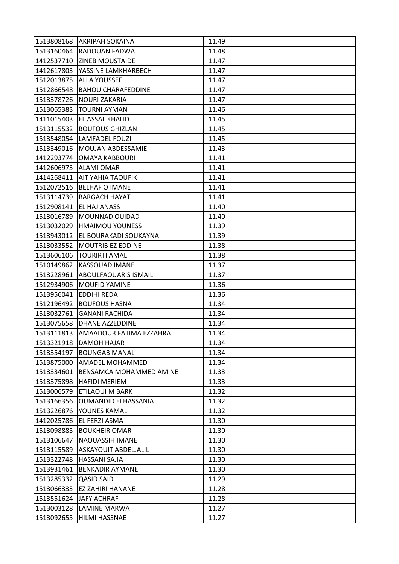| 1513808168 | <b>AKRIPAH SOKAINA</b>         | 11.49 |
|------------|--------------------------------|-------|
| 1513160464 | <b>RADOUAN FADWA</b>           | 11.48 |
| 1412537710 | <b>ZINEB MOUSTAIDE</b>         | 11.47 |
| 1412617803 | YASSINE LAMKHARBECH            | 11.47 |
| 1512013875 | <b>ALLA YOUSSEF</b>            | 11.47 |
| 1512866548 | <b>BAHOU CHARAFEDDINE</b>      | 11.47 |
| 1513378726 | <b>NOURI ZAKARIA</b>           | 11.47 |
| 1513065383 | <b>TOURNI AYMAN</b>            | 11.46 |
| 1411015403 | EL ASSAL KHALID                | 11.45 |
| 1513115532 | <b>BOUFOUS GHIZLAN</b>         | 11.45 |
| 1513548054 | <b>LAMFADEL FOUZI</b>          | 11.45 |
| 1513349016 | <b>MOUJAN ABDESSAMIE</b>       | 11.43 |
| 1412293774 | OMAYA KABBOURI                 | 11.41 |
| 1412606973 | <b>ALAMI OMAR</b>              | 11.41 |
| 1414268411 | AIT YAHIA TAOUFIK              | 11.41 |
| 1512072516 | <b>BELHAF OTMANE</b>           | 11.41 |
| 1513114739 | <b>BARGACH HAYAT</b>           | 11.41 |
| 1512908141 | EL HAJ ANASS                   | 11.40 |
| 1513016789 | <b>MOUNNAD OUIDAD</b>          | 11.40 |
| 1513032029 | <b>HMAIMOU YOUNESS</b>         | 11.39 |
| 1513943012 | EL BOURAKADI SOUKAYNA          | 11.39 |
| 1513033552 | <b>MOUTRIB EZ EDDINE</b>       | 11.38 |
| 1513606106 | <b>TOURIRTI AMAL</b>           | 11.38 |
| 1510149862 | <b>KASSOUAD IMANE</b>          | 11.37 |
| 1513228961 | ABOULFAOUARIS ISMAIL           | 11.37 |
| 1512934906 | MOUFID YAMINE                  | 11.36 |
| 1513956041 | <b>EDDIHI REDA</b>             | 11.36 |
| 1512196492 | <b>BOUFOUS HASNA</b>           | 11.34 |
| 1513032761 | <b>GANANI RACHIDA</b>          | 11.34 |
| 1513075658 | <b>DHANE AZZEDDINE</b>         | 11.34 |
| 1513111813 | AMAADOUR FATIMA EZZAHRA        | 11.34 |
| 1513321918 | <b>DAMOH HAJAR</b>             | 11.34 |
| 1513354197 | <b>BOUNGAB MANAL</b>           | 11.34 |
| 1513875000 | AMADEL MOHAMMED                | 11.34 |
| 1513334601 | <b>BENSAMCA MOHAMMED AMINE</b> | 11.33 |
| 1513375898 | <b>HAFIDI MERIEM</b>           | 11.33 |
| 1513006579 | ETILAOUI M BARK                | 11.32 |
| 1513166356 | <b>OUMANDID ELHASSANIA</b>     | 11.32 |
| 1513226876 | YOUNES KAMAL                   | 11.32 |
| 1412025786 | <b>EL FERZI ASMA</b>           | 11.30 |
| 1513098885 | <b>BOUKHEIR OMAR</b>           | 11.30 |
| 1513106647 | <b>NAOUASSIH IMANE</b>         | 11.30 |
| 1513115589 | ASKAYOUIT ABDELJALIL           | 11.30 |
| 1513322748 | <b>HASSANI SAJIA</b>           | 11.30 |
| 1513931461 | <b>BENKADIR AYMANE</b>         | 11.30 |
| 1513285332 | <b>QASID SAID</b>              | 11.29 |
| 1513066333 | <b>EZ ZAHIRI HANANE</b>        | 11.28 |
| 1513551624 | <b>JAFY ACHRAF</b>             | 11.28 |
| 1513003128 | LAMINE MARWA                   | 11.27 |
| 1513092655 | HILMI HASSNAE                  | 11.27 |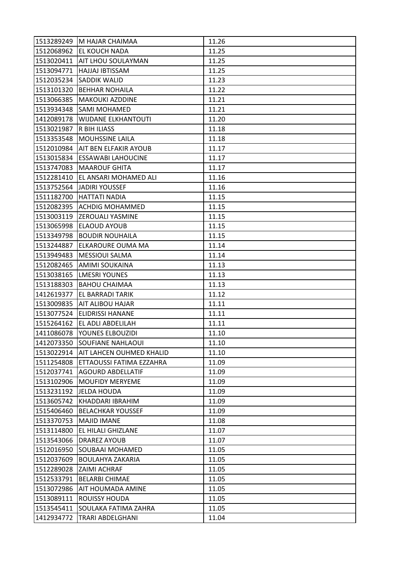|            | 1513289249 M HAJAR CHAIMAA      | 11.26 |
|------------|---------------------------------|-------|
|            | 1512068962 EL KOUCH NADA        | 11.25 |
| 1513020411 | AIT LHOU SOULAYMAN              | 11.25 |
| 1513094771 | HAJJAJ IBTISSAM                 | 11.25 |
| 1512035234 | <b>SADDIK WALID</b>             | 11.23 |
| 1513101320 | <b>BEHHAR NOHAILA</b>           | 11.22 |
| 1513066385 | <b>MAKOUKI AZDDINE</b>          | 11.21 |
| 1513934348 | <b>SAMI MOHAMED</b>             | 11.21 |
| 1412089178 | <b>WIJDANE ELKHANTOUTI</b>      | 11.20 |
| 1513021987 | R BIH ILIASS                    | 11.18 |
| 1513353548 | <b>MOUHSSINE LAILA</b>          | 11.18 |
| 1512010984 | AIT BEN ELFAKIR AYOUB           | 11.17 |
| 1513015834 | ESSAWABI LAHOUCINE              | 11.17 |
| 1513747083 | <b>MAAROUF GHITA</b>            | 11.17 |
| 1512281410 | EL ANSARI MOHAMED ALI           | 11.16 |
| 1513752564 | <b>JADIRI YOUSSEF</b>           | 11.16 |
| 1511182700 | <b>HATTATI NADIA</b>            | 11.15 |
| 1512082395 | ACHDIG MOHAMMED                 | 11.15 |
| 1513003119 | <b>ZEROUALI YASMINE</b>         | 11.15 |
| 1513065998 | <b>ELAOUD AYOUB</b>             | 11.15 |
| 1513349798 | <b>BOUDIR NOUHAILA</b>          | 11.15 |
| 1513244887 | ELKAROURE OUMA MA               | 11.14 |
| 1513949483 | <b>MESSIOUI SALMA</b>           | 11.14 |
| 1512082465 | AMIMI SOUKAINA                  | 11.13 |
| 1513038165 | <b>LMESRI YOUNES</b>            | 11.13 |
| 1513188303 | <b>BAHOU CHAIMAA</b>            | 11.13 |
| 1412619377 | EL BARRADI TARIK                | 11.12 |
| 1513009835 | AIT ALIBOU HAJAR                | 11.11 |
| 1513077524 | <b>ELIDRISSI HANANE</b>         | 11.11 |
| 1515264162 | EL ADLI ABDELILAH               | 11.11 |
| 1411086078 | YOUNES ELBOUZIDI                | 11.10 |
|            | 1412073350 SOUFIANE NAHLAOUI    | 11.10 |
| 1513022914 | <b>AIT LAHCEN OUHMED KHALID</b> | 11.10 |
| 1511254808 | ETTAOUSSI FATIMA EZZAHRA        | 11.09 |
| 1512037741 | <b>AGOURD ABDELLATIF</b>        | 11.09 |
| 1513102906 | <b>MOUFIDY MERYEME</b>          | 11.09 |
| 1513231192 | <b>JELDA HOUDA</b>              | 11.09 |
| 1513605742 | KHADDARI IBRAHIM                | 11.09 |
| 1515406460 | <b>BELACHKAR YOUSSEF</b>        | 11.09 |
| 1513370753 | <b>MAJID IMANE</b>              | 11.08 |
| 1513114800 | EL HILALI GHIZLANE              | 11.07 |
| 1513543066 | <b>DRAREZ AYOUB</b>             | 11.07 |
| 1512016950 | SOUBAAI MOHAMED                 | 11.05 |
| 1512037609 | <b>BOULAHYA ZAKARIA</b>         | 11.05 |
| 1512289028 | <b>ZAIMI ACHRAF</b>             | 11.05 |
| 1512533791 | <b>BELARBI CHIMAE</b>           | 11.05 |
| 1513072986 | AIT HOUMADA AMINE               | 11.05 |
| 1513089111 | <b>ROUISSY HOUDA</b>            | 11.05 |
| 1513545411 | SOULAKA FATIMA ZAHRA            | 11.05 |
| 1412934772 | TRARI ABDELGHANI                | 11.04 |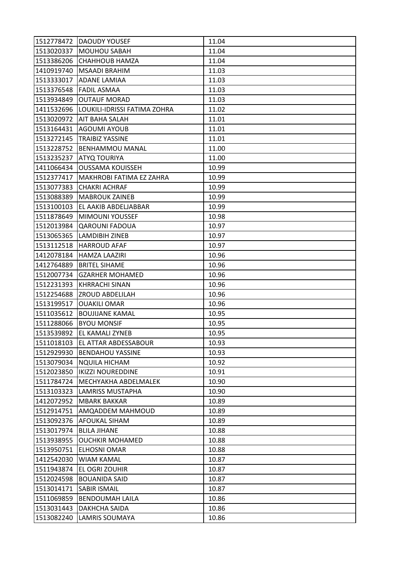|            | 1512778472 DAOUDY YOUSEF        | 11.04 |
|------------|---------------------------------|-------|
| 1513020337 | <b>MOUHOU SABAH</b>             | 11.04 |
| 1513386206 | CHAHHOUB HAMZA                  | 11.04 |
| 1410919740 | <b>MSAADI BRAHIM</b>            | 11.03 |
| 1513333017 | <b>ADANE LAMIAA</b>             | 11.03 |
| 1513376548 | <b>FADIL ASMAA</b>              | 11.03 |
| 1513934849 | <b>OUTAUF MORAD</b>             | 11.03 |
| 1411532696 | LOUKILI-IDRISSI FATIMA ZOHRA    | 11.02 |
| 1513020972 | <b>AIT BAHA SALAH</b>           | 11.01 |
| 1513164431 | <b>AGOUMI AYOUB</b>             | 11.01 |
| 1513272145 | <b>TRAIBIZ YASSINE</b>          | 11.01 |
| 1513228752 | <b>BENHAMMOU MANAL</b>          | 11.00 |
| 1513235237 | ATYQ TOURIYA                    | 11.00 |
| 1411066434 | <b>OUSSAMA KOUISSEH</b>         | 10.99 |
| 1512377417 | MAKHROBI FATIMA EZ ZAHRA        | 10.99 |
| 1513077383 | <b>CHAKRI ACHRAF</b>            | 10.99 |
| 1513088389 | <b>MABROUK ZAINEB</b>           | 10.99 |
| 1513100103 | EL AAKIB ABDELJABBAR            | 10.99 |
| 1511878649 | <b>MIMOUNI YOUSSEF</b>          | 10.98 |
| 1512013984 | <b>QAROUNI FADOUA</b>           | 10.97 |
| 1513065365 | <b>LAMDIBIH ZINEB</b>           | 10.97 |
| 1513112518 | <b>HARROUD AFAF</b>             | 10.97 |
| 1412078184 | <b>HAMZA LAAZIRI</b>            | 10.96 |
| 1412764889 | <b>BRITEL SIHAME</b>            | 10.96 |
| 1512007734 | <b>GZARHER MOHAMED</b>          | 10.96 |
| 1512231393 | <b>KHRRACHI SINAN</b>           | 10.96 |
| 1512254688 | <b>ZROUD ABDELILAH</b>          | 10.96 |
| 1513199517 | <b>OUAKILI OMAR</b>             | 10.96 |
| 1511035612 | <b>BOUJIJANE KAMAL</b>          | 10.95 |
| 1511288066 | <b>BYOU MONSIF</b>              | 10.95 |
| 1513539892 | EL KAMALI ZYNEB                 | 10.95 |
|            | 1511018103 EL ATTAR ABDESSABOUR | 10.93 |
| 1512929930 | <b>BENDAHOU YASSINE</b>         | 10.93 |
| 1513079034 | <b>NQUILA HICHAM</b>            | 10.92 |
| 1512023850 | <b>IKIZZI NOUREDDINE</b>        | 10.91 |
| 1511784724 | MECHYAKHA ABDELMALEK            | 10.90 |
| 1513103323 | <b>LAMRISS MUSTAPHA</b>         | 10.90 |
| 1412072952 | <b>MBARK BAKKAR</b>             | 10.89 |
| 1512914751 | AMQADDEM MAHMOUD                | 10.89 |
| 1513092376 | <b>AFOUKAL SIHAM</b>            | 10.89 |
| 1513017974 | <b>BLILA JIHANE</b>             | 10.88 |
| 1513938955 | <b>OUCHKIR MOHAMED</b>          | 10.88 |
| 1513950751 | <b>ELHOSNI OMAR</b>             | 10.88 |
| 1412542030 | <b>WIAM KAMAL</b>               | 10.87 |
| 1511943874 | EL OGRI ZOUHIR                  | 10.87 |
| 1512024598 | <b>BOUANIDA SAID</b>            | 10.87 |
| 1513014171 | <b>SABIR ISMAIL</b>             | 10.87 |
| 1511069859 | <b>BENDOUMAH LAILA</b>          | 10.86 |
| 1513031443 | <b>DAKHCHA SAIDA</b>            | 10.86 |
| 1513082240 | <b>LAMRIS SOUMAYA</b>           | 10.86 |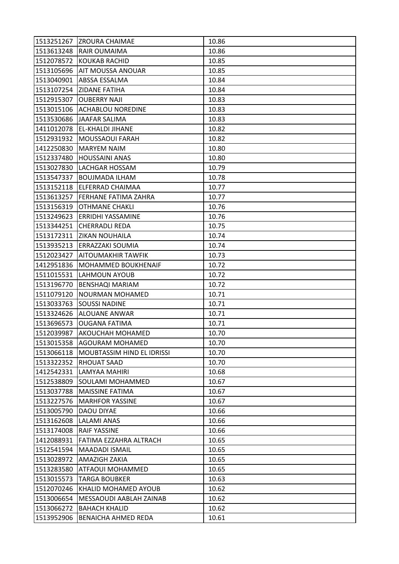|            | 1513251267 ZROURA CHAIMAE   | 10.86 |
|------------|-----------------------------|-------|
| 1513613248 | <b>RAIR OUMAIMA</b>         | 10.86 |
| 1512078572 | <b>KOUKAB RACHID</b>        | 10.85 |
| 1513105696 | AIT MOUSSA ANOUAR           | 10.85 |
| 1513040901 | ABSSA ESSALMA               | 10.84 |
| 1513107254 | <b>ZIDANE FATIHA</b>        | 10.84 |
| 1512915307 | <b>OUBERRY NAJI</b>         | 10.83 |
| 1513015106 | <b>ACHABLOU NOREDINE</b>    | 10.83 |
| 1513530686 | <b>JAAFAR SALIMA</b>        | 10.83 |
| 1411012078 | <b>EL-KHALDI JIHANE</b>     | 10.82 |
| 1512931932 | <b>MOUSSAOUI FARAH</b>      | 10.82 |
| 1412250830 | <b>MARYEM NAIM</b>          | 10.80 |
| 1512337480 | <b>HOUSSAINI ANAS</b>       | 10.80 |
| 1513027830 | LACHGAR HOSSAM              | 10.79 |
| 1513547337 | <b>BOUJMADA ILHAM</b>       | 10.78 |
|            | 1513152118 ELFERRAD CHAIMAA | 10.77 |
| 1513613257 | IFERHANE FATIMA ZAHRA       | 10.77 |
| 1513156319 | <b>OTHMANE CHAKLI</b>       | 10.76 |
| 1513249623 | <b>ERRIDHI YASSAMINE</b>    | 10.76 |
| 1513344251 | <b>CHERRADLI REDA</b>       | 10.75 |
| 1513172311 | <b>ZIKAN NOUHAILA</b>       | 10.74 |
| 1513935213 | <b>ERRAZZAKI SOUMIA</b>     | 10.74 |
| 1512023427 | AITOUMAKHIR TAWFIK          | 10.73 |
| 1412951836 | <b>MOHAMMED BOUKHENAIF</b>  | 10.72 |
| 1511015531 | LAHMOUN AYOUB               | 10.72 |
| 1513196770 | <b>BENSHAQI MARIAM</b>      | 10.72 |
| 1511079120 | NOURMAN MOHAMED             | 10.71 |
| 1513033763 | <b>SOUSSI NADINE</b>        | 10.71 |
| 1513324626 | <b>ALOUANE ANWAR</b>        | 10.71 |
| 1513696573 | <b>OUGANA FATIMA</b>        | 10.71 |
| 1512039987 | <b>AKOUCHAH MOHAMED</b>     | 10.70 |
|            | 1513015358 AGOURAM MOHAMED  | 10.70 |
| 1513066118 | MOUBTASSIM HIND EL IDRISSI  | 10.70 |
| 1513322352 | <b>RHOUAT SAAD</b>          | 10.70 |
| 1412542331 | LAMYAA MAHIRI               | 10.68 |
| 1512538809 | SOULAMI MOHAMMED            | 10.67 |
| 1513037788 | <b>MAISSINE FATIMA</b>      | 10.67 |
| 1513227576 | <b>MARHFOR YASSINE</b>      | 10.67 |
| 1513005790 | <b>DAOU DIYAE</b>           | 10.66 |
| 1513162608 | <b>LALAMI ANAS</b>          | 10.66 |
| 1513174008 | <b>RAIF YASSINE</b>         | 10.66 |
| 1412088931 | FATIMA EZZAHRA ALTRACH      | 10.65 |
| 1512541594 | MAADADI ISMAIL              | 10.65 |
| 1513028972 | AMAZIGH ZAKIA               | 10.65 |
| 1513283580 | ATFAOUI MOHAMMED            | 10.65 |
| 1513015573 | <b>TARGA BOUBKER</b>        | 10.63 |
| 1512070246 | <b>KHALID MOHAMED AYOUB</b> | 10.62 |
| 1513006654 | MESSAOUDI AABLAH ZAINAB     | 10.62 |
| 1513066272 | <b>BAHACH KHALID</b>        | 10.62 |
| 1513952906 | BENAICHA AHMED REDA         | 10.61 |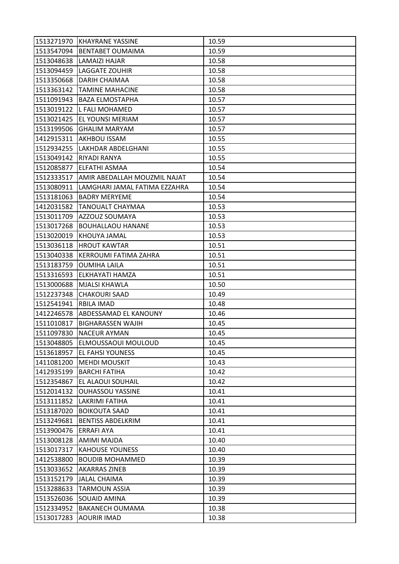|            | 1513271970 KHAYRANE YASSINE    | 10.59 |
|------------|--------------------------------|-------|
| 1513547094 | <b>BENTABET OUMAIMA</b>        | 10.59 |
| 1513048638 | LAMAIZI HAJAR                  | 10.58 |
| 1513094459 | <b>LAGGATE ZOUHIR</b>          | 10.58 |
| 1513350668 | <b>DARIH CHAIMAA</b>           | 10.58 |
| 1513363142 | <b>TAMINE MAHACINE</b>         | 10.58 |
| 1511091943 | <b>BAZA ELMOSTAPHA</b>         | 10.57 |
| 1513019122 | L FALI MOHAMED                 | 10.57 |
| 1513021425 | EL YOUNSI MERIAM               | 10.57 |
| 1513199506 | <b>GHALIM MARYAM</b>           | 10.57 |
| 1412915311 | AKHBOU ISSAM                   | 10.55 |
| 1512934255 | LAKHDAR ABDELGHANI             | 10.55 |
| 1513049142 | RIYADI RANYA                   | 10.55 |
| 1512085877 | <b>ELFATHI ASMAA</b>           | 10.54 |
| 1512333517 | AMIR ABEDALLAH MOUZMIL NAJAT   | 10.54 |
| 1513080911 | LAMGHARI JAMAL FATIMA EZZAHRA  | 10.54 |
| 1513181063 | <b>BADRY MERYEME</b>           | 10.54 |
| 1412031582 | <b>TANOUALT CHAYMAA</b>        | 10.53 |
| 1513011709 | AZZOUZ SOUMAYA                 | 10.53 |
| 1513017268 | <b>BOUHALLAOU HANANE</b>       | 10.53 |
| 1513020019 | KHOUYA JAMAL                   | 10.53 |
| 1513036118 | <b>HROUT KAWTAR</b>            | 10.51 |
| 1513040338 | KERROUMI FATIMA ZAHRA          | 10.51 |
| 1513183759 | <b>OUMIHA LAILA</b>            | 10.51 |
| 1513316593 | ELKHAYATI HAMZA                | 10.51 |
| 1513000688 | <b>MJALSI KHAWLA</b>           | 10.50 |
| 1512237348 | <b>CHAKOURI SAAD</b>           | 10.49 |
| 1512541941 | <b>RBILA IMAD</b>              | 10.48 |
| 1412246578 | ABDESSAMAD EL KANOUNY          | 10.46 |
| 1511010817 | <b>BIGHARASSEN WAJIH</b>       | 10.45 |
| 1511097830 | <b>NACEUR AYMAN</b>            | 10.45 |
|            | 1513048805 ELMOUSSAOUI MOULOUD | 10.45 |
| 1513618957 | <b>EL FAHSI YOUNESS</b>        | 10.45 |
| 1411081200 | <b>MEHDI MOUSKIT</b>           | 10.43 |
| 1412935199 | <b>BARCHI FATIHA</b>           | 10.42 |
| 1512354867 | EL ALAOUI SOUHAIL              | 10.42 |
| 1512014132 | <b>OUHASSOU YASSINE</b>        | 10.41 |
| 1513111852 | <b>LAKRIMI FATIHA</b>          | 10.41 |
| 1513187020 | <b>BOIKOUTA SAAD</b>           | 10.41 |
| 1513249681 | <b>BENTISS ABDELKRIM</b>       | 10.41 |
| 1513900476 | <b>ERRAFI AYA</b>              | 10.41 |
| 1513008128 | AMIMI MAJDA                    | 10.40 |
| 1513017317 | <b>KAHOUSE YOUNESS</b>         | 10.40 |
| 1412538800 | <b>BOUDIB MOHAMMED</b>         | 10.39 |
| 1513033652 | <b>AKARRAS ZINEB</b>           | 10.39 |
| 1513152179 | <b>JALAL CHAIMA</b>            | 10.39 |
| 1513288633 | <b>TARMOUN ASSIA</b>           | 10.39 |
| 1513526036 | SOUAID AMINA                   | 10.39 |
| 1512334952 | <b>BAKANECH OUMAMA</b>         | 10.38 |
| 1513017283 | <b>AOURIR IMAD</b>             | 10.38 |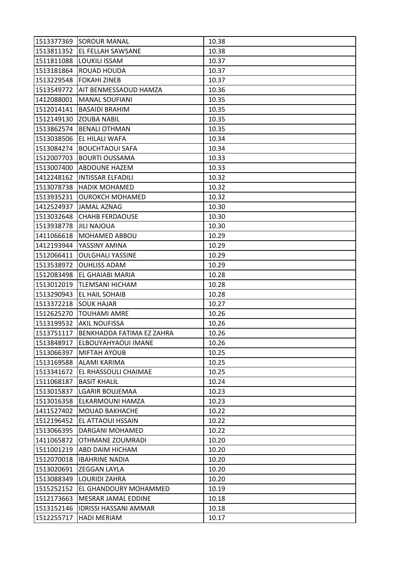|            | 1513377369 SOROUR MANAL        | 10.38 |
|------------|--------------------------------|-------|
|            | 1513811352 EL FELLAH SAWSANE   | 10.38 |
| 1511811088 | <b>LOUKILI ISSAM</b>           | 10.37 |
| 1513181864 | <b>ROUAD HOUDA</b>             | 10.37 |
| 1513229548 | <b>FOKAHI ZINEB</b>            | 10.37 |
| 1513549772 | AIT BENMESSAOUD HAMZA          | 10.36 |
| 1412088001 | <b>MANAL SOUFIANI</b>          | 10.35 |
| 1512014141 | <b>BASAIDI BRAHIM</b>          | 10.35 |
| 1512149130 | <b>ZOUBA NABIL</b>             | 10.35 |
| 1513862574 | <b>BENALI OTHMAN</b>           | 10.35 |
| 1513038506 | <b>EL HILALI WAFA</b>          | 10.34 |
| 1513084274 | <b>BOUCHTAOUI SAFA</b>         | 10.34 |
| 1512007703 | <b>BOURTI OUSSAMA</b>          | 10.33 |
| 1513007400 | <b>ABDOUNE HAZEM</b>           | 10.33 |
| 1412248162 | <b>INTISSAR ELFADILI</b>       | 10.32 |
| 1513078738 | <b>HADIK MOHAMED</b>           | 10.32 |
| 1513935231 | <b>OUROKCH MOHAMED</b>         | 10.32 |
| 1412524937 | JAMAL AZNAG                    | 10.30 |
| 1513032648 | <b>CHAHB FERDAOUSE</b>         | 10.30 |
| 1513938778 | <b>JILI NAJOUA</b>             | 10.30 |
| 1411066618 | <b>MOHAMED ABBOU</b>           | 10.29 |
| 1412193944 | YASSINY AMINA                  | 10.29 |
| 1512066411 | <b>OULGHALI YASSINE</b>        | 10.29 |
| 1513538972 | <b>OUHLISS ADAM</b>            | 10.29 |
| 1512083498 | EL GHAIABI MARIA               | 10.28 |
| 1513012019 | <b>TLEMSANI HICHAM</b>         | 10.28 |
| 1513290943 | EL HAIL SOHAIB                 | 10.28 |
| 1513372218 | <b>SOUK HAJAR</b>              | 10.27 |
| 1512625270 | TOUHAMI AMRE                   | 10.26 |
| 1513199532 | <b>AKIL NOUFISSA</b>           | 10.26 |
| 1513751117 | BENKHADDA FATIMA EZ ZAHRA      | 10.26 |
|            | 1513848917 ELBOUYAHYAOUI IMANE | 10.26 |
| 1513066397 | <b>MIFTAH AYOUB</b>            | 10.25 |
| 1513169588 | ALAMI KARIMA                   | 10.25 |
| 1513341672 | <b>EL RHASSOULI CHAIMAE</b>    | 10.25 |
| 1511068187 | <b>BASIT KHALIL</b>            | 10.24 |
| 1513015837 | <b>LGARIR BOUJEMAA</b>         | 10.23 |
| 1513016358 | ELKARMOUNI HAMZA               | 10.23 |
| 1411527402 | MOUAD BAKHACHE                 | 10.22 |
| 1512196452 | <b>EL ATTAOUI HSSAIN</b>       | 10.22 |
| 1513066395 | DARGANI MOHAMED                | 10.22 |
| 1411065872 | <b>OTHMANE ZOUMRADI</b>        | 10.20 |
| 1511001219 | ABD DAIM HICHAM                | 10.20 |
| 1512070018 | <b>IBAHRINE NADIA</b>          | 10.20 |
| 1513020691 | <b>ZEGGAN LAYLA</b>            | 10.20 |
| 1513088349 | <b>LOURIDI ZAHRA</b>           | 10.20 |
| 1515252152 | EL GHANDOURY MOHAMMED          | 10.19 |
| 1512173663 | MESRAR JAMAL EDDINE            | 10.18 |
| 1513152146 | <b>IDRISSI HASSANI AMMAR</b>   | 10.18 |
| 1512255717 | <b>HADI MERIAM</b>             | 10.17 |